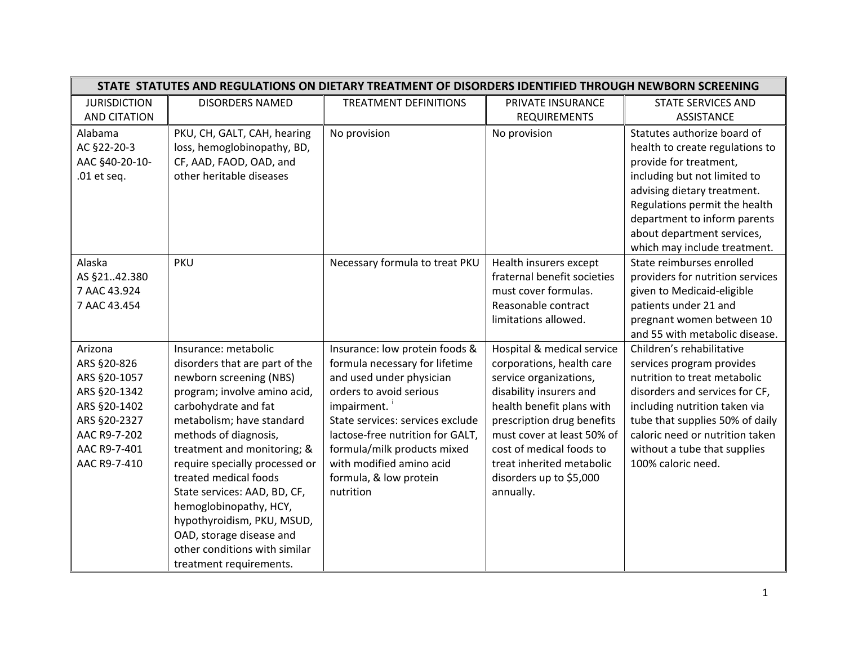|                     | STATE STATUTES AND REGULATIONS ON DIETARY TREATMENT OF DISORDERS IDENTIFIED THROUGH NEWBORN SCREENING |                                  |                             |                                  |  |
|---------------------|-------------------------------------------------------------------------------------------------------|----------------------------------|-----------------------------|----------------------------------|--|
| <b>JURISDICTION</b> | <b>DISORDERS NAMED</b>                                                                                | <b>TREATMENT DEFINITIONS</b>     | PRIVATE INSURANCE           | <b>STATE SERVICES AND</b>        |  |
| <b>AND CITATION</b> |                                                                                                       |                                  | <b>REQUIREMENTS</b>         | <b>ASSISTANCE</b>                |  |
| Alabama             | PKU, CH, GALT, CAH, hearing                                                                           | No provision                     | No provision                | Statutes authorize board of      |  |
| AC §22-20-3         | loss, hemoglobinopathy, BD,                                                                           |                                  |                             | health to create regulations to  |  |
| AAC §40-20-10-      | CF, AAD, FAOD, OAD, and                                                                               |                                  |                             | provide for treatment,           |  |
| .01 et seq.         | other heritable diseases                                                                              |                                  |                             | including but not limited to     |  |
|                     |                                                                                                       |                                  |                             | advising dietary treatment.      |  |
|                     |                                                                                                       |                                  |                             | Regulations permit the health    |  |
|                     |                                                                                                       |                                  |                             | department to inform parents     |  |
|                     |                                                                                                       |                                  |                             | about department services,       |  |
|                     |                                                                                                       |                                  |                             | which may include treatment.     |  |
| Alaska              | <b>PKU</b>                                                                                            | Necessary formula to treat PKU   | Health insurers except      | State reimburses enrolled        |  |
| AS §2142.380        |                                                                                                       |                                  | fraternal benefit societies | providers for nutrition services |  |
| 7 AAC 43.924        |                                                                                                       |                                  | must cover formulas.        | given to Medicaid-eligible       |  |
| 7 AAC 43.454        |                                                                                                       |                                  | Reasonable contract         | patients under 21 and            |  |
|                     |                                                                                                       |                                  | limitations allowed.        | pregnant women between 10        |  |
|                     |                                                                                                       |                                  |                             | and 55 with metabolic disease.   |  |
| Arizona             | Insurance: metabolic                                                                                  | Insurance: low protein foods &   | Hospital & medical service  | Children's rehabilitative        |  |
| ARS §20-826         | disorders that are part of the                                                                        | formula necessary for lifetime   | corporations, health care   | services program provides        |  |
| ARS §20-1057        | newborn screening (NBS)                                                                               | and used under physician         | service organizations,      | nutrition to treat metabolic     |  |
| ARS §20-1342        | program; involve amino acid,                                                                          | orders to avoid serious          | disability insurers and     | disorders and services for CF,   |  |
| ARS §20-1402        | carbohydrate and fat                                                                                  | impairment.                      | health benefit plans with   | including nutrition taken via    |  |
| ARS §20-2327        | metabolism; have standard                                                                             | State services: services exclude | prescription drug benefits  | tube that supplies 50% of daily  |  |
| AAC R9-7-202        | methods of diagnosis,                                                                                 | lactose-free nutrition for GALT, | must cover at least 50% of  | caloric need or nutrition taken  |  |
| AAC R9-7-401        | treatment and monitoring; &                                                                           | formula/milk products mixed      | cost of medical foods to    | without a tube that supplies     |  |
| AAC R9-7-410        | require specially processed or                                                                        | with modified amino acid         | treat inherited metabolic   | 100% caloric need.               |  |
|                     | treated medical foods                                                                                 | formula, & low protein           | disorders up to \$5,000     |                                  |  |
|                     | State services: AAD, BD, CF,                                                                          | nutrition                        | annually.                   |                                  |  |
|                     | hemoglobinopathy, HCY,                                                                                |                                  |                             |                                  |  |
|                     | hypothyroidism, PKU, MSUD,                                                                            |                                  |                             |                                  |  |
|                     | OAD, storage disease and                                                                              |                                  |                             |                                  |  |
|                     | other conditions with similar                                                                         |                                  |                             |                                  |  |
|                     | treatment requirements.                                                                               |                                  |                             |                                  |  |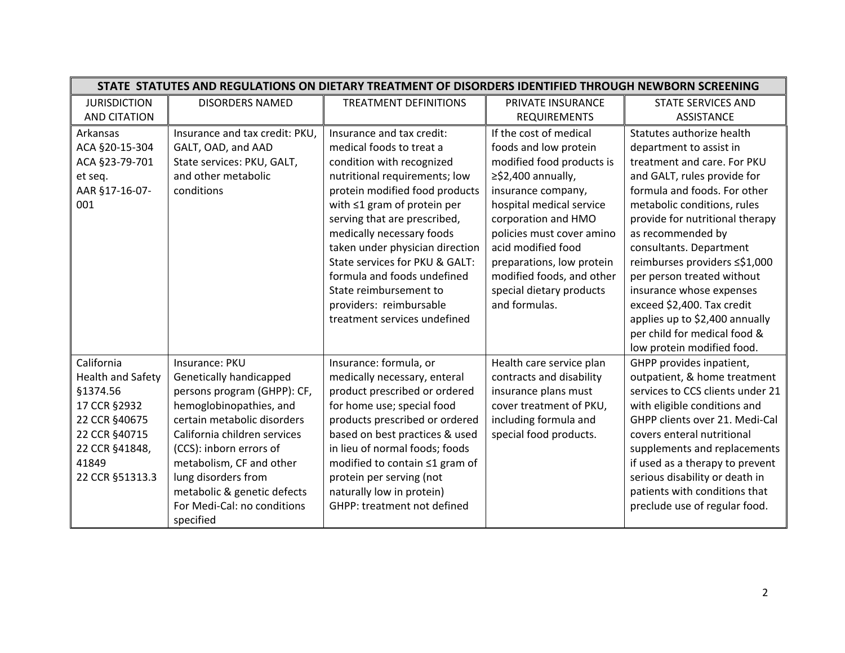|                                                                                                                                                    |                                                                                                                                                                                                                                                                                                                             | STATE STATUTES AND REGULATIONS ON DIETARY TREATMENT OF DISORDERS IDENTIFIED THROUGH NEWBORN SCREENING                                                                                                                                                                                                                                                                                                                                            |                                                                                                                                                                                                                                                                                                                                             |                                                                                                                                                                                                                                                                                                                                                                                                                                                                                               |
|----------------------------------------------------------------------------------------------------------------------------------------------------|-----------------------------------------------------------------------------------------------------------------------------------------------------------------------------------------------------------------------------------------------------------------------------------------------------------------------------|--------------------------------------------------------------------------------------------------------------------------------------------------------------------------------------------------------------------------------------------------------------------------------------------------------------------------------------------------------------------------------------------------------------------------------------------------|---------------------------------------------------------------------------------------------------------------------------------------------------------------------------------------------------------------------------------------------------------------------------------------------------------------------------------------------|-----------------------------------------------------------------------------------------------------------------------------------------------------------------------------------------------------------------------------------------------------------------------------------------------------------------------------------------------------------------------------------------------------------------------------------------------------------------------------------------------|
| <b>JURISDICTION</b>                                                                                                                                | <b>DISORDERS NAMED</b>                                                                                                                                                                                                                                                                                                      | <b>TREATMENT DEFINITIONS</b>                                                                                                                                                                                                                                                                                                                                                                                                                     | PRIVATE INSURANCE                                                                                                                                                                                                                                                                                                                           | <b>STATE SERVICES AND</b>                                                                                                                                                                                                                                                                                                                                                                                                                                                                     |
| <b>AND CITATION</b>                                                                                                                                |                                                                                                                                                                                                                                                                                                                             |                                                                                                                                                                                                                                                                                                                                                                                                                                                  | <b>REQUIREMENTS</b>                                                                                                                                                                                                                                                                                                                         | <b>ASSISTANCE</b>                                                                                                                                                                                                                                                                                                                                                                                                                                                                             |
| Arkansas<br>ACA §20-15-304<br>ACA §23-79-701<br>et seq.<br>AAR §17-16-07-<br>001                                                                   | Insurance and tax credit: PKU,<br>GALT, OAD, and AAD<br>State services: PKU, GALT,<br>and other metabolic<br>conditions                                                                                                                                                                                                     | Insurance and tax credit:<br>medical foods to treat a<br>condition with recognized<br>nutritional requirements; low<br>protein modified food products<br>with $\leq 1$ gram of protein per<br>serving that are prescribed,<br>medically necessary foods<br>taken under physician direction<br>State services for PKU & GALT:<br>formula and foods undefined<br>State reimbursement to<br>providers: reimbursable<br>treatment services undefined | If the cost of medical<br>foods and low protein<br>modified food products is<br>$\geq$ \$2,400 annually,<br>insurance company,<br>hospital medical service<br>corporation and HMO<br>policies must cover amino<br>acid modified food<br>preparations, low protein<br>modified foods, and other<br>special dietary products<br>and formulas. | Statutes authorize health<br>department to assist in<br>treatment and care. For PKU<br>and GALT, rules provide for<br>formula and foods. For other<br>metabolic conditions, rules<br>provide for nutritional therapy<br>as recommended by<br>consultants. Department<br>reimburses providers ≤\$1,000<br>per person treated without<br>insurance whose expenses<br>exceed \$2,400. Tax credit<br>applies up to \$2,400 annually<br>per child for medical food &<br>low protein modified food. |
| California<br><b>Health and Safety</b><br>§1374.56<br>17 CCR §2932<br>22 CCR §40675<br>22 CCR §40715<br>22 CCR §41848,<br>41849<br>22 CCR §51313.3 | Insurance: PKU<br>Genetically handicapped<br>persons program (GHPP): CF,<br>hemoglobinopathies, and<br>certain metabolic disorders<br>California children services<br>(CCS): inborn errors of<br>metabolism, CF and other<br>lung disorders from<br>metabolic & genetic defects<br>For Medi-Cal: no conditions<br>specified | Insurance: formula, or<br>medically necessary, enteral<br>product prescribed or ordered<br>for home use; special food<br>products prescribed or ordered<br>based on best practices & used<br>in lieu of normal foods; foods<br>modified to contain ≤1 gram of<br>protein per serving (not<br>naturally low in protein)<br>GHPP: treatment not defined                                                                                            | Health care service plan<br>contracts and disability<br>insurance plans must<br>cover treatment of PKU,<br>including formula and<br>special food products.                                                                                                                                                                                  | GHPP provides inpatient,<br>outpatient, & home treatment<br>services to CCS clients under 21<br>with eligible conditions and<br>GHPP clients over 21. Medi-Cal<br>covers enteral nutritional<br>supplements and replacements<br>if used as a therapy to prevent<br>serious disability or death in<br>patients with conditions that<br>preclude use of regular food.                                                                                                                           |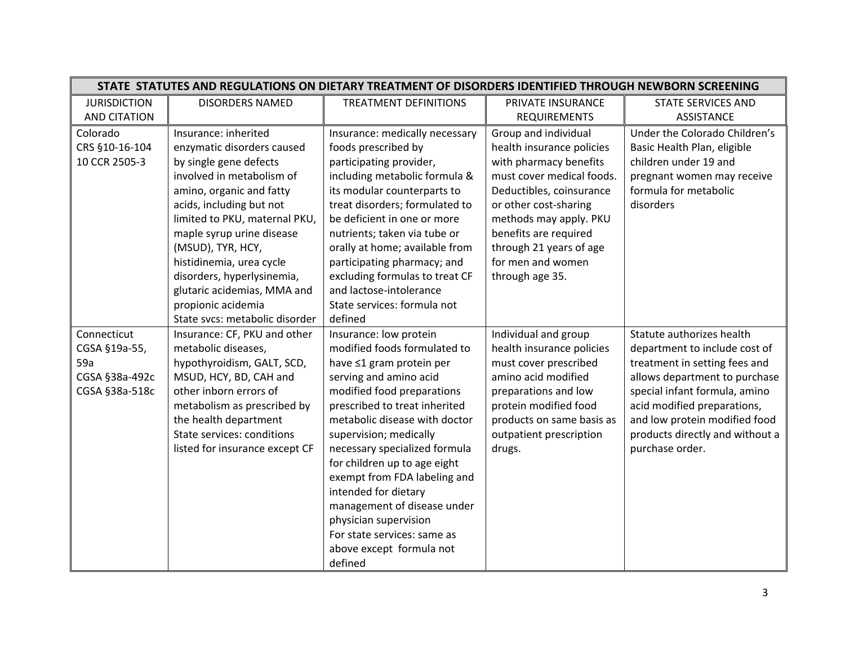| STATE STATUTES AND REGULATIONS ON DIETARY TREATMENT OF DISORDERS IDENTIFIED THROUGH NEWBORN SCREENING |                                                                                                                                                                                                                                                                                          |                                                                                                                                                                                                                                                                                                                                                                                                                                                                                               |                                                                                                                                                                                                                      |                                                                                                                                                                                                                                                                                     |
|-------------------------------------------------------------------------------------------------------|------------------------------------------------------------------------------------------------------------------------------------------------------------------------------------------------------------------------------------------------------------------------------------------|-----------------------------------------------------------------------------------------------------------------------------------------------------------------------------------------------------------------------------------------------------------------------------------------------------------------------------------------------------------------------------------------------------------------------------------------------------------------------------------------------|----------------------------------------------------------------------------------------------------------------------------------------------------------------------------------------------------------------------|-------------------------------------------------------------------------------------------------------------------------------------------------------------------------------------------------------------------------------------------------------------------------------------|
| <b>JURISDICTION</b>                                                                                   | <b>DISORDERS NAMED</b>                                                                                                                                                                                                                                                                   | <b>TREATMENT DEFINITIONS</b>                                                                                                                                                                                                                                                                                                                                                                                                                                                                  | PRIVATE INSURANCE                                                                                                                                                                                                    | <b>STATE SERVICES AND</b>                                                                                                                                                                                                                                                           |
| <b>AND CITATION</b>                                                                                   |                                                                                                                                                                                                                                                                                          |                                                                                                                                                                                                                                                                                                                                                                                                                                                                                               | <b>REQUIREMENTS</b>                                                                                                                                                                                                  | <b>ASSISTANCE</b>                                                                                                                                                                                                                                                                   |
| Colorado<br>CRS §10-16-104<br>10 CCR 2505-3                                                           | Insurance: inherited<br>enzymatic disorders caused<br>by single gene defects<br>involved in metabolism of                                                                                                                                                                                | Insurance: medically necessary<br>foods prescribed by<br>participating provider,<br>including metabolic formula &                                                                                                                                                                                                                                                                                                                                                                             | Group and individual<br>health insurance policies<br>with pharmacy benefits<br>must cover medical foods.                                                                                                             | Under the Colorado Children's<br>Basic Health Plan, eligible<br>children under 19 and<br>pregnant women may receive                                                                                                                                                                 |
|                                                                                                       | amino, organic and fatty<br>acids, including but not<br>limited to PKU, maternal PKU,<br>maple syrup urine disease<br>(MSUD), TYR, HCY,<br>histidinemia, urea cycle<br>disorders, hyperlysinemia,<br>glutaric acidemias, MMA and<br>propionic acidemia<br>State svcs: metabolic disorder | its modular counterparts to<br>treat disorders; formulated to<br>be deficient in one or more<br>nutrients; taken via tube or<br>orally at home; available from<br>participating pharmacy; and<br>excluding formulas to treat CF<br>and lactose-intolerance<br>State services: formula not<br>defined                                                                                                                                                                                          | Deductibles, coinsurance<br>or other cost-sharing<br>methods may apply. PKU<br>benefits are required<br>through 21 years of age<br>for men and women<br>through age 35.                                              | formula for metabolic<br>disorders                                                                                                                                                                                                                                                  |
| Connecticut<br>CGSA §19a-55,<br>59a<br>CGSA §38a-492c<br>CGSA §38a-518c                               | Insurance: CF, PKU and other<br>metabolic diseases,<br>hypothyroidism, GALT, SCD,<br>MSUD, HCY, BD, CAH and<br>other inborn errors of<br>metabolism as prescribed by<br>the health department<br>State services: conditions<br>listed for insurance except CF                            | Insurance: low protein<br>modified foods formulated to<br>have ≤1 gram protein per<br>serving and amino acid<br>modified food preparations<br>prescribed to treat inherited<br>metabolic disease with doctor<br>supervision; medically<br>necessary specialized formula<br>for children up to age eight<br>exempt from FDA labeling and<br>intended for dietary<br>management of disease under<br>physician supervision<br>For state services: same as<br>above except formula not<br>defined | Individual and group<br>health insurance policies<br>must cover prescribed<br>amino acid modified<br>preparations and low<br>protein modified food<br>products on same basis as<br>outpatient prescription<br>drugs. | Statute authorizes health<br>department to include cost of<br>treatment in setting fees and<br>allows department to purchase<br>special infant formula, amino<br>acid modified preparations,<br>and low protein modified food<br>products directly and without a<br>purchase order. |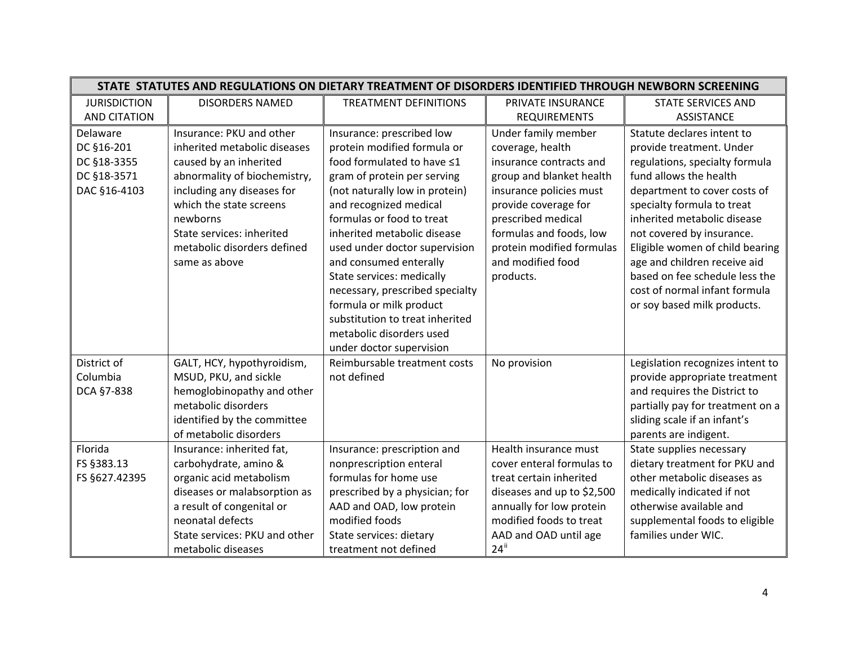|                     | STATE STATUTES AND REGULATIONS ON DIETARY TREATMENT OF DISORDERS IDENTIFIED THROUGH NEWBORN SCREENING |                                 |                            |                                  |  |
|---------------------|-------------------------------------------------------------------------------------------------------|---------------------------------|----------------------------|----------------------------------|--|
| <b>JURISDICTION</b> | <b>DISORDERS NAMED</b>                                                                                | <b>TREATMENT DEFINITIONS</b>    | PRIVATE INSURANCE          | <b>STATE SERVICES AND</b>        |  |
| <b>AND CITATION</b> |                                                                                                       |                                 | <b>REQUIREMENTS</b>        | <b>ASSISTANCE</b>                |  |
| Delaware            | Insurance: PKU and other                                                                              | Insurance: prescribed low       | Under family member        | Statute declares intent to       |  |
| DC §16-201          | inherited metabolic diseases                                                                          | protein modified formula or     | coverage, health           | provide treatment. Under         |  |
| DC §18-3355         | caused by an inherited                                                                                | food formulated to have ≤1      | insurance contracts and    | regulations, specialty formula   |  |
| DC §18-3571         | abnormality of biochemistry,                                                                          | gram of protein per serving     | group and blanket health   | fund allows the health           |  |
| DAC §16-4103        | including any diseases for                                                                            | (not naturally low in protein)  | insurance policies must    | department to cover costs of     |  |
|                     | which the state screens                                                                               | and recognized medical          | provide coverage for       | specialty formula to treat       |  |
|                     | newborns                                                                                              | formulas or food to treat       | prescribed medical         | inherited metabolic disease      |  |
|                     | State services: inherited                                                                             | inherited metabolic disease     | formulas and foods, low    | not covered by insurance.        |  |
|                     | metabolic disorders defined                                                                           | used under doctor supervision   | protein modified formulas  | Eligible women of child bearing  |  |
|                     | same as above                                                                                         | and consumed enterally          | and modified food          | age and children receive aid     |  |
|                     |                                                                                                       | State services: medically       | products.                  | based on fee schedule less the   |  |
|                     |                                                                                                       | necessary, prescribed specialty |                            | cost of normal infant formula    |  |
|                     |                                                                                                       | formula or milk product         |                            | or soy based milk products.      |  |
|                     |                                                                                                       | substitution to treat inherited |                            |                                  |  |
|                     |                                                                                                       | metabolic disorders used        |                            |                                  |  |
|                     |                                                                                                       | under doctor supervision        |                            |                                  |  |
| District of         | GALT, HCY, hypothyroidism,                                                                            | Reimbursable treatment costs    | No provision               | Legislation recognizes intent to |  |
| Columbia            | MSUD, PKU, and sickle                                                                                 | not defined                     |                            | provide appropriate treatment    |  |
| DCA §7-838          | hemoglobinopathy and other                                                                            |                                 |                            | and requires the District to     |  |
|                     | metabolic disorders                                                                                   |                                 |                            | partially pay for treatment on a |  |
|                     | identified by the committee                                                                           |                                 |                            | sliding scale if an infant's     |  |
|                     | of metabolic disorders                                                                                |                                 |                            | parents are indigent.            |  |
| Florida             | Insurance: inherited fat,                                                                             | Insurance: prescription and     | Health insurance must      | State supplies necessary         |  |
| FS §383.13          | carbohydrate, amino &                                                                                 | nonprescription enteral         | cover enteral formulas to  | dietary treatment for PKU and    |  |
| FS §627.42395       | organic acid metabolism                                                                               | formulas for home use           | treat certain inherited    | other metabolic diseases as      |  |
|                     | diseases or malabsorption as                                                                          | prescribed by a physician; for  | diseases and up to \$2,500 | medically indicated if not       |  |
|                     | a result of congenital or                                                                             | AAD and OAD, low protein        | annually for low protein   | otherwise available and          |  |
|                     | neonatal defects                                                                                      | modified foods                  | modified foods to treat    | supplemental foods to eligible   |  |
|                     | State services: PKU and other                                                                         | State services: dietary         | AAD and OAD until age      | families under WIC.              |  |
|                     | metabolic diseases                                                                                    | treatment not defined           | $24$ <sup>ii</sup>         |                                  |  |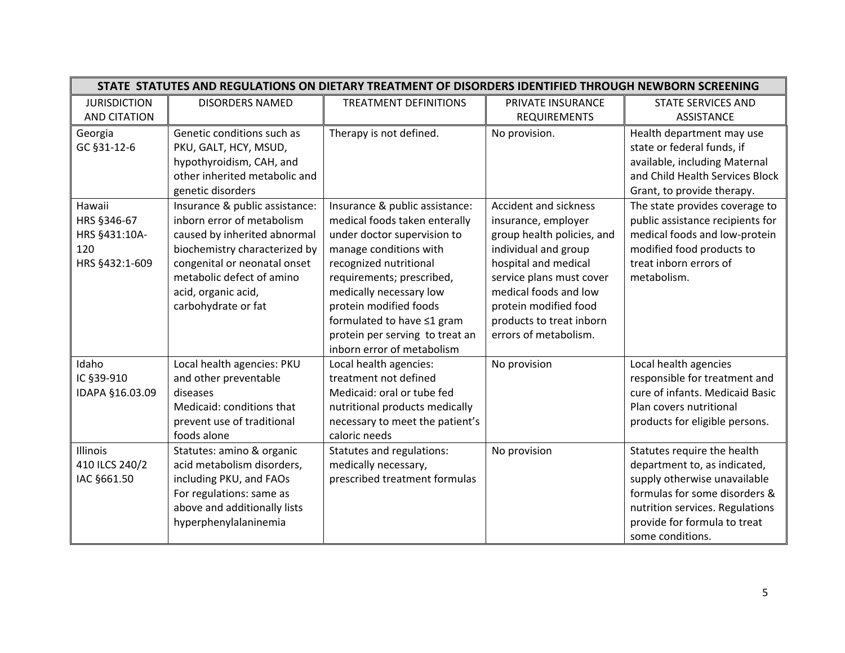|                                                                 |                                                                                                                                                                                                                                          |                                                                                                                                                                                                                                                                                                                                     |                                                                                                                                                                                                                                                               | STATE STATUTES AND REGULATIONS ON DIETARY TREATMENT OF DISORDERS IDENTIFIED THROUGH NEWBORN SCREENING                                                                                                               |  |  |  |
|-----------------------------------------------------------------|------------------------------------------------------------------------------------------------------------------------------------------------------------------------------------------------------------------------------------------|-------------------------------------------------------------------------------------------------------------------------------------------------------------------------------------------------------------------------------------------------------------------------------------------------------------------------------------|---------------------------------------------------------------------------------------------------------------------------------------------------------------------------------------------------------------------------------------------------------------|---------------------------------------------------------------------------------------------------------------------------------------------------------------------------------------------------------------------|--|--|--|
| <b>JURISDICTION</b>                                             | <b>DISORDERS NAMED</b>                                                                                                                                                                                                                   | <b>TREATMENT DEFINITIONS</b>                                                                                                                                                                                                                                                                                                        | PRIVATE INSURANCE                                                                                                                                                                                                                                             | <b>STATE SERVICES AND</b>                                                                                                                                                                                           |  |  |  |
| <b>AND CITATION</b>                                             |                                                                                                                                                                                                                                          |                                                                                                                                                                                                                                                                                                                                     | <b>REQUIREMENTS</b>                                                                                                                                                                                                                                           | ASSISTANCE                                                                                                                                                                                                          |  |  |  |
| Georgia<br>GC §31-12-6                                          | Genetic conditions such as<br>PKU, GALT, HCY, MSUD,<br>hypothyroidism, CAH, and<br>other inherited metabolic and<br>genetic disorders                                                                                                    | Therapy is not defined.                                                                                                                                                                                                                                                                                                             | No provision.                                                                                                                                                                                                                                                 | Health department may use<br>state or federal funds, if<br>available, including Maternal<br>and Child Health Services Block<br>Grant, to provide therapy.                                                           |  |  |  |
| Hawaii<br>HRS §346-67<br>HRS §431:10A-<br>120<br>HRS §432:1-609 | Insurance & public assistance:<br>inborn error of metabolism<br>caused by inherited abnormal<br>biochemistry characterized by<br>congenital or neonatal onset<br>metabolic defect of amino<br>acid, organic acid,<br>carbohydrate or fat | Insurance & public assistance:<br>medical foods taken enterally<br>under doctor supervision to<br>manage conditions with<br>recognized nutritional<br>requirements; prescribed,<br>medically necessary low<br>protein modified foods<br>formulated to have ≤1 gram<br>protein per serving to treat an<br>inborn error of metabolism | Accident and sickness<br>insurance, employer<br>group health policies, and<br>individual and group<br>hospital and medical<br>service plans must cover<br>medical foods and low<br>protein modified food<br>products to treat inborn<br>errors of metabolism. | The state provides coverage to<br>public assistance recipients for<br>medical foods and low-protein<br>modified food products to<br>treat inborn errors of<br>metabolism.                                           |  |  |  |
| Idaho                                                           | Local health agencies: PKU                                                                                                                                                                                                               | Local health agencies:                                                                                                                                                                                                                                                                                                              | No provision                                                                                                                                                                                                                                                  | Local health agencies                                                                                                                                                                                               |  |  |  |
| IC §39-910                                                      | and other preventable                                                                                                                                                                                                                    | treatment not defined                                                                                                                                                                                                                                                                                                               |                                                                                                                                                                                                                                                               | responsible for treatment and                                                                                                                                                                                       |  |  |  |
| IDAPA §16.03.09                                                 | diseases                                                                                                                                                                                                                                 | Medicaid: oral or tube fed                                                                                                                                                                                                                                                                                                          |                                                                                                                                                                                                                                                               | cure of infants. Medicaid Basic                                                                                                                                                                                     |  |  |  |
|                                                                 | Medicaid: conditions that                                                                                                                                                                                                                | nutritional products medically                                                                                                                                                                                                                                                                                                      |                                                                                                                                                                                                                                                               | Plan covers nutritional                                                                                                                                                                                             |  |  |  |
|                                                                 | prevent use of traditional<br>foods alone                                                                                                                                                                                                | necessary to meet the patient's<br>caloric needs                                                                                                                                                                                                                                                                                    |                                                                                                                                                                                                                                                               | products for eligible persons.                                                                                                                                                                                      |  |  |  |
| <b>Illinois</b><br>410 ILCS 240/2<br>IAC §661.50                | Statutes: amino & organic<br>acid metabolism disorders,<br>including PKU, and FAOs<br>For regulations: same as<br>above and additionally lists<br>hyperphenylalaninemia                                                                  | Statutes and regulations:<br>medically necessary,<br>prescribed treatment formulas                                                                                                                                                                                                                                                  | No provision                                                                                                                                                                                                                                                  | Statutes require the health<br>department to, as indicated,<br>supply otherwise unavailable<br>formulas for some disorders &<br>nutrition services. Regulations<br>provide for formula to treat<br>some conditions. |  |  |  |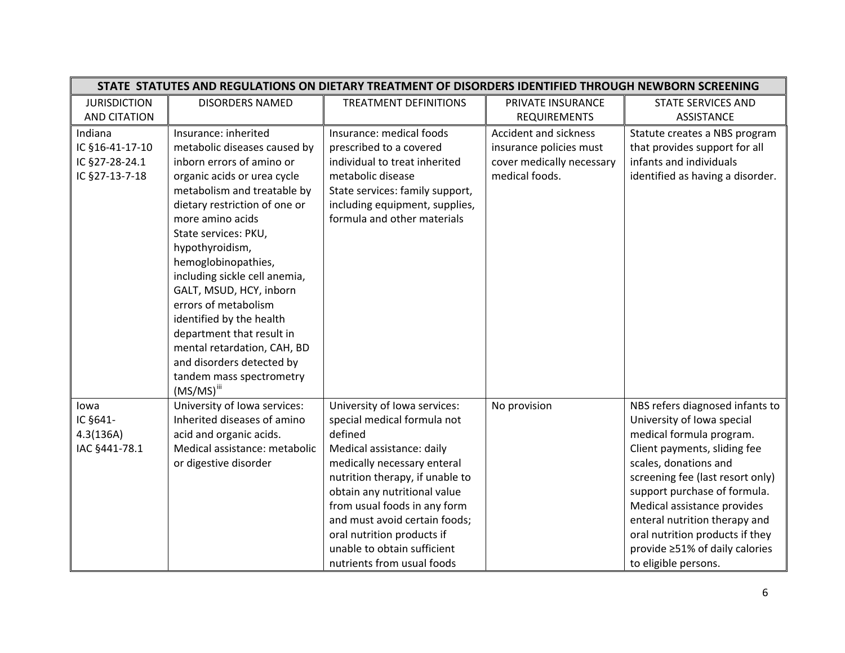|                     | STATE STATUTES AND REGULATIONS ON DIETARY TREATMENT OF DISORDERS IDENTIFIED THROUGH NEWBORN SCREENING |                                 |                           |                                  |  |
|---------------------|-------------------------------------------------------------------------------------------------------|---------------------------------|---------------------------|----------------------------------|--|
| <b>JURISDICTION</b> | <b>DISORDERS NAMED</b>                                                                                | <b>TREATMENT DEFINITIONS</b>    | PRIVATE INSURANCE         | <b>STATE SERVICES AND</b>        |  |
| <b>AND CITATION</b> |                                                                                                       |                                 | <b>REQUIREMENTS</b>       | <b>ASSISTANCE</b>                |  |
| Indiana             | Insurance: inherited                                                                                  | Insurance: medical foods        | Accident and sickness     | Statute creates a NBS program    |  |
| IC §16-41-17-10     | metabolic diseases caused by                                                                          | prescribed to a covered         | insurance policies must   | that provides support for all    |  |
| IC §27-28-24.1      | inborn errors of amino or                                                                             | individual to treat inherited   | cover medically necessary | infants and individuals          |  |
| IC §27-13-7-18      | organic acids or urea cycle                                                                           | metabolic disease               | medical foods.            | identified as having a disorder. |  |
|                     | metabolism and treatable by                                                                           | State services: family support, |                           |                                  |  |
|                     | dietary restriction of one or                                                                         | including equipment, supplies,  |                           |                                  |  |
|                     | more amino acids                                                                                      | formula and other materials     |                           |                                  |  |
|                     | State services: PKU,                                                                                  |                                 |                           |                                  |  |
|                     | hypothyroidism,                                                                                       |                                 |                           |                                  |  |
|                     | hemoglobinopathies,                                                                                   |                                 |                           |                                  |  |
|                     | including sickle cell anemia,                                                                         |                                 |                           |                                  |  |
|                     | GALT, MSUD, HCY, inborn                                                                               |                                 |                           |                                  |  |
|                     | errors of metabolism                                                                                  |                                 |                           |                                  |  |
|                     | identified by the health                                                                              |                                 |                           |                                  |  |
|                     | department that result in                                                                             |                                 |                           |                                  |  |
|                     | mental retardation, CAH, BD                                                                           |                                 |                           |                                  |  |
|                     | and disorders detected by                                                                             |                                 |                           |                                  |  |
|                     | tandem mass spectrometry                                                                              |                                 |                           |                                  |  |
|                     | $(MS/MS)$ <sup>iii</sup>                                                                              |                                 |                           |                                  |  |
| lowa                | University of Iowa services:                                                                          | University of Iowa services:    | No provision              | NBS refers diagnosed infants to  |  |
| IC §641-            | Inherited diseases of amino                                                                           | special medical formula not     |                           | University of Iowa special       |  |
| 4.3(136A)           | acid and organic acids.                                                                               | defined                         |                           | medical formula program.         |  |
| IAC §441-78.1       | Medical assistance: metabolic                                                                         | Medical assistance: daily       |                           | Client payments, sliding fee     |  |
|                     | or digestive disorder                                                                                 | medically necessary enteral     |                           | scales, donations and            |  |
|                     |                                                                                                       | nutrition therapy, if unable to |                           | screening fee (last resort only) |  |
|                     |                                                                                                       | obtain any nutritional value    |                           | support purchase of formula.     |  |
|                     |                                                                                                       | from usual foods in any form    |                           | Medical assistance provides      |  |
|                     |                                                                                                       | and must avoid certain foods;   |                           | enteral nutrition therapy and    |  |
|                     |                                                                                                       | oral nutrition products if      |                           | oral nutrition products if they  |  |
|                     |                                                                                                       | unable to obtain sufficient     |                           | provide ≥51% of daily calories   |  |
|                     |                                                                                                       | nutrients from usual foods      |                           | to eligible persons.             |  |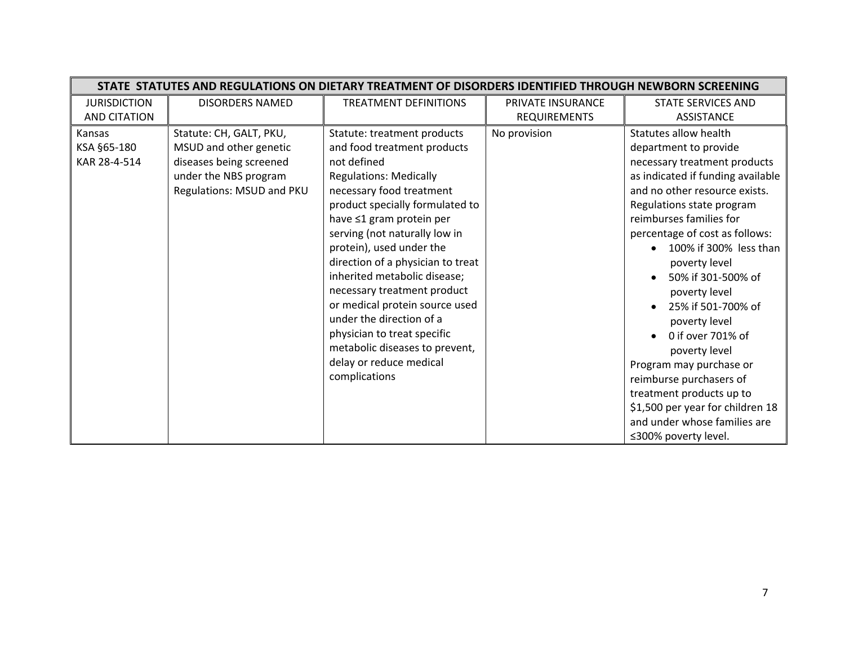|                                       | STATE STATUTES AND REGULATIONS ON DIETARY TREATMENT OF DISORDERS IDENTIFIED THROUGH NEWBORN SCREENING                              |                                                                                                                                                                                                                                                                                                                                                                                                                                                                                                                                                   |                     |                                                                                                                                                                                                                                                                                                                                                                                                                                                                                                 |  |
|---------------------------------------|------------------------------------------------------------------------------------------------------------------------------------|---------------------------------------------------------------------------------------------------------------------------------------------------------------------------------------------------------------------------------------------------------------------------------------------------------------------------------------------------------------------------------------------------------------------------------------------------------------------------------------------------------------------------------------------------|---------------------|-------------------------------------------------------------------------------------------------------------------------------------------------------------------------------------------------------------------------------------------------------------------------------------------------------------------------------------------------------------------------------------------------------------------------------------------------------------------------------------------------|--|
| <b>JURISDICTION</b>                   | <b>DISORDERS NAMED</b>                                                                                                             | <b>TREATMENT DEFINITIONS</b>                                                                                                                                                                                                                                                                                                                                                                                                                                                                                                                      | PRIVATE INSURANCE   | <b>STATE SERVICES AND</b>                                                                                                                                                                                                                                                                                                                                                                                                                                                                       |  |
| <b>AND CITATION</b>                   |                                                                                                                                    |                                                                                                                                                                                                                                                                                                                                                                                                                                                                                                                                                   | <b>REQUIREMENTS</b> | <b>ASSISTANCE</b>                                                                                                                                                                                                                                                                                                                                                                                                                                                                               |  |
| Kansas<br>KSA §65-180<br>KAR 28-4-514 | Statute: CH, GALT, PKU,<br>MSUD and other genetic<br>diseases being screened<br>under the NBS program<br>Regulations: MSUD and PKU | Statute: treatment products<br>and food treatment products<br>not defined<br><b>Regulations: Medically</b><br>necessary food treatment<br>product specially formulated to<br>have ≤1 gram protein per<br>serving (not naturally low in<br>protein), used under the<br>direction of a physician to treat<br>inherited metabolic disease;<br>necessary treatment product<br>or medical protein source used<br>under the direction of a<br>physician to treat specific<br>metabolic diseases to prevent,<br>delay or reduce medical<br>complications | No provision        | Statutes allow health<br>department to provide<br>necessary treatment products<br>as indicated if funding available<br>and no other resource exists.<br>Regulations state program<br>reimburses families for<br>percentage of cost as follows:<br>100% if 300% less than<br>poverty level<br>50% if 301-500% of<br>poverty level<br>25% if 501-700% of<br>poverty level<br>0 if over 701% of<br>poverty level<br>Program may purchase or<br>reimburse purchasers of<br>treatment products up to |  |
|                                       |                                                                                                                                    |                                                                                                                                                                                                                                                                                                                                                                                                                                                                                                                                                   |                     | \$1,500 per year for children 18<br>and under whose families are<br>≤300% poverty level.                                                                                                                                                                                                                                                                                                                                                                                                        |  |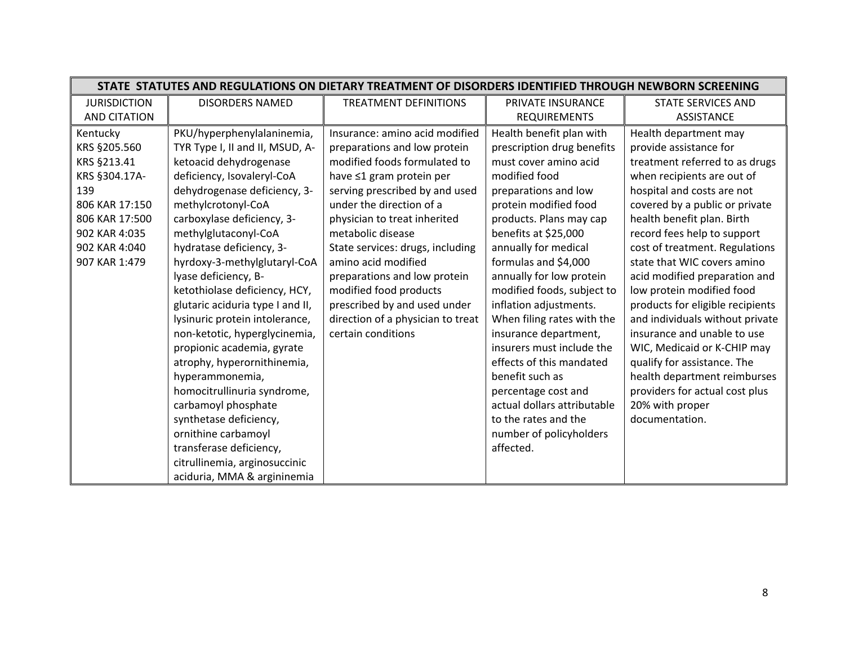| STATE STATUTES AND REGULATIONS ON DIETARY TREATMENT OF DISORDERS IDENTIFIED THROUGH NEWBORN SCREENING |                                  |                                   |                             |                                  |
|-------------------------------------------------------------------------------------------------------|----------------------------------|-----------------------------------|-----------------------------|----------------------------------|
| <b>JURISDICTION</b>                                                                                   | <b>DISORDERS NAMED</b>           | <b>TREATMENT DEFINITIONS</b>      | PRIVATE INSURANCE           | <b>STATE SERVICES AND</b>        |
| <b>AND CITATION</b>                                                                                   |                                  |                                   | <b>REQUIREMENTS</b>         | <b>ASSISTANCE</b>                |
| Kentucky                                                                                              | PKU/hyperphenylalaninemia,       | Insurance: amino acid modified    | Health benefit plan with    | Health department may            |
| KRS §205.560                                                                                          | TYR Type I, II and II, MSUD, A-  | preparations and low protein      | prescription drug benefits  | provide assistance for           |
| KRS §213.41                                                                                           | ketoacid dehydrogenase           | modified foods formulated to      | must cover amino acid       | treatment referred to as drugs   |
| KRS §304.17A-                                                                                         | deficiency, Isovaleryl-CoA       | have ≤1 gram protein per          | modified food               | when recipients are out of       |
| 139                                                                                                   | dehydrogenase deficiency, 3-     | serving prescribed by and used    | preparations and low        | hospital and costs are not       |
| 806 KAR 17:150                                                                                        | methylcrotonyl-CoA               | under the direction of a          | protein modified food       | covered by a public or private   |
| 806 KAR 17:500                                                                                        | carboxylase deficiency, 3-       | physician to treat inherited      | products. Plans may cap     | health benefit plan. Birth       |
| 902 KAR 4:035                                                                                         | methylglutaconyl-CoA             | metabolic disease                 | benefits at \$25,000        | record fees help to support      |
| 902 KAR 4:040                                                                                         | hydratase deficiency, 3-         | State services: drugs, including  | annually for medical        | cost of treatment. Regulations   |
| 907 KAR 1:479                                                                                         | hyrdoxy-3-methylglutaryl-CoA     | amino acid modified               | formulas and \$4,000        | state that WIC covers amino      |
|                                                                                                       | lyase deficiency, B-             | preparations and low protein      | annually for low protein    | acid modified preparation and    |
|                                                                                                       | ketothiolase deficiency, HCY,    | modified food products            | modified foods, subject to  | low protein modified food        |
|                                                                                                       | glutaric aciduria type I and II, | prescribed by and used under      | inflation adjustments.      | products for eligible recipients |
|                                                                                                       | lysinuric protein intolerance,   | direction of a physician to treat | When filing rates with the  | and individuals without private  |
|                                                                                                       | non-ketotic, hyperglycinemia,    | certain conditions                | insurance department,       | insurance and unable to use      |
|                                                                                                       | propionic academia, gyrate       |                                   | insurers must include the   | WIC, Medicaid or K-CHIP may      |
|                                                                                                       | atrophy, hyperornithinemia,      |                                   | effects of this mandated    | qualify for assistance. The      |
|                                                                                                       | hyperammonemia,                  |                                   | benefit such as             | health department reimburses     |
|                                                                                                       | homocitrullinuria syndrome,      |                                   | percentage cost and         | providers for actual cost plus   |
|                                                                                                       | carbamoyl phosphate              |                                   | actual dollars attributable | 20% with proper                  |
|                                                                                                       | synthetase deficiency,           |                                   | to the rates and the        | documentation.                   |
|                                                                                                       | ornithine carbamoyl              |                                   | number of policyholders     |                                  |
|                                                                                                       | transferase deficiency,          |                                   | affected.                   |                                  |
|                                                                                                       | citrullinemia, arginosuccinic    |                                   |                             |                                  |
|                                                                                                       | aciduria, MMA & argininemia      |                                   |                             |                                  |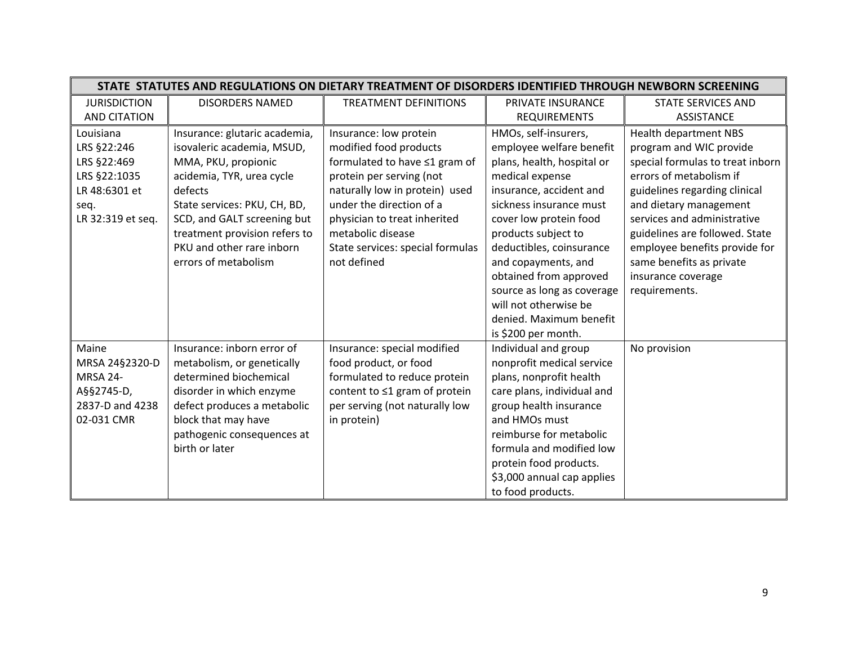|                     | STATE STATUTES AND REGULATIONS ON DIETARY TREATMENT OF DISORDERS IDENTIFIED THROUGH NEWBORN SCREENING |                                  |                            |                                  |  |
|---------------------|-------------------------------------------------------------------------------------------------------|----------------------------------|----------------------------|----------------------------------|--|
| <b>JURISDICTION</b> | <b>DISORDERS NAMED</b>                                                                                | <b>TREATMENT DEFINITIONS</b>     | PRIVATE INSURANCE          | <b>STATE SERVICES AND</b>        |  |
| <b>AND CITATION</b> |                                                                                                       |                                  | <b>REQUIREMENTS</b>        | <b>ASSISTANCE</b>                |  |
| Louisiana           | Insurance: glutaric academia,                                                                         | Insurance: low protein           | HMOs, self-insurers,       | Health department NBS            |  |
| LRS §22:246         | isovaleric academia, MSUD,                                                                            | modified food products           | employee welfare benefit   | program and WIC provide          |  |
| LRS §22:469         | MMA, PKU, propionic                                                                                   | formulated to have ≤1 gram of    | plans, health, hospital or | special formulas to treat inborn |  |
| LRS §22:1035        | acidemia, TYR, urea cycle                                                                             | protein per serving (not         | medical expense            | errors of metabolism if          |  |
| LR 48:6301 et       | defects                                                                                               | naturally low in protein) used   | insurance, accident and    | guidelines regarding clinical    |  |
| seq.                | State services: PKU, CH, BD,                                                                          | under the direction of a         | sickness insurance must    | and dietary management           |  |
| LR 32:319 et seq.   | SCD, and GALT screening but                                                                           | physician to treat inherited     | cover low protein food     | services and administrative      |  |
|                     | treatment provision refers to                                                                         | metabolic disease                | products subject to        | guidelines are followed. State   |  |
|                     | PKU and other rare inborn                                                                             | State services: special formulas | deductibles, coinsurance   | employee benefits provide for    |  |
|                     | errors of metabolism                                                                                  | not defined                      | and copayments, and        | same benefits as private         |  |
|                     |                                                                                                       |                                  | obtained from approved     | insurance coverage               |  |
|                     |                                                                                                       |                                  | source as long as coverage | requirements.                    |  |
|                     |                                                                                                       |                                  | will not otherwise be      |                                  |  |
|                     |                                                                                                       |                                  | denied. Maximum benefit    |                                  |  |
|                     |                                                                                                       |                                  | is \$200 per month.        |                                  |  |
| Maine               | Insurance: inborn error of                                                                            | Insurance: special modified      | Individual and group       | No provision                     |  |
| MRSA 24§2320-D      | metabolism, or genetically                                                                            | food product, or food            | nonprofit medical service  |                                  |  |
| <b>MRSA 24-</b>     | determined biochemical                                                                                | formulated to reduce protein     | plans, nonprofit health    |                                  |  |
| A§§2745-D,          | disorder in which enzyme                                                                              | content to ≤1 gram of protein    | care plans, individual and |                                  |  |
| 2837-D and 4238     | defect produces a metabolic                                                                           | per serving (not naturally low   | group health insurance     |                                  |  |
| 02-031 CMR          | block that may have                                                                                   | in protein)                      | and HMOs must              |                                  |  |
|                     | pathogenic consequences at                                                                            |                                  | reimburse for metabolic    |                                  |  |
|                     | birth or later                                                                                        |                                  | formula and modified low   |                                  |  |
|                     |                                                                                                       |                                  | protein food products.     |                                  |  |
|                     |                                                                                                       |                                  | \$3,000 annual cap applies |                                  |  |
|                     |                                                                                                       |                                  | to food products.          |                                  |  |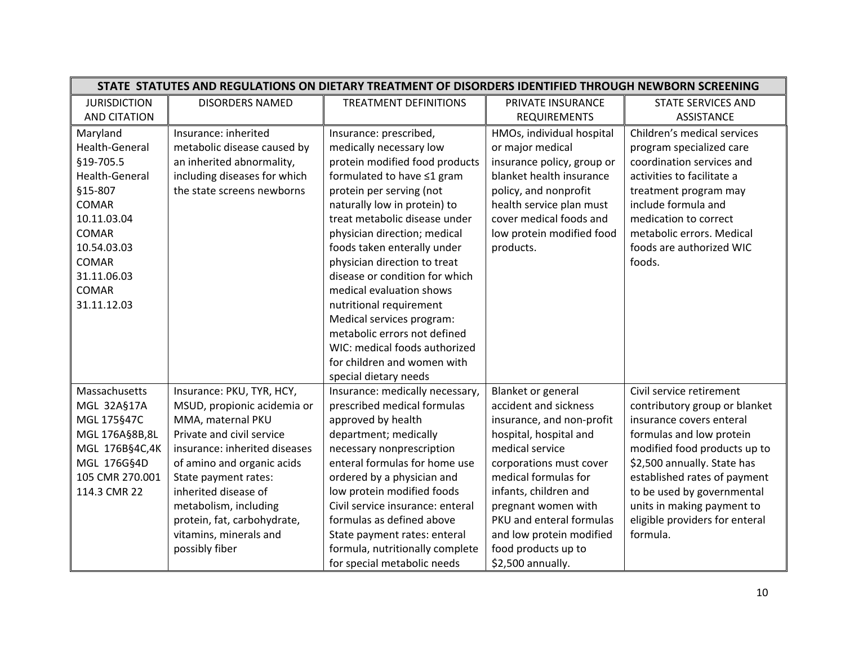|                     | STATE STATUTES AND REGULATIONS ON DIETARY TREATMENT OF DISORDERS IDENTIFIED THROUGH NEWBORN SCREENING |                                  |                            |                                |
|---------------------|-------------------------------------------------------------------------------------------------------|----------------------------------|----------------------------|--------------------------------|
| <b>JURISDICTION</b> | <b>DISORDERS NAMED</b>                                                                                | <b>TREATMENT DEFINITIONS</b>     | PRIVATE INSURANCE          | <b>STATE SERVICES AND</b>      |
| <b>AND CITATION</b> |                                                                                                       |                                  | <b>REQUIREMENTS</b>        | <b>ASSISTANCE</b>              |
| Maryland            | Insurance: inherited                                                                                  | Insurance: prescribed,           | HMOs, individual hospital  | Children's medical services    |
| Health-General      | metabolic disease caused by                                                                           | medically necessary low          | or major medical           | program specialized care       |
| §19-705.5           | an inherited abnormality,                                                                             | protein modified food products   | insurance policy, group or | coordination services and      |
| Health-General      | including diseases for which                                                                          | formulated to have ≤1 gram       | blanket health insurance   | activities to facilitate a     |
| §15-807             | the state screens newborns                                                                            | protein per serving (not         | policy, and nonprofit      | treatment program may          |
| <b>COMAR</b>        |                                                                                                       | naturally low in protein) to     | health service plan must   | include formula and            |
| 10.11.03.04         |                                                                                                       | treat metabolic disease under    | cover medical foods and    | medication to correct          |
| <b>COMAR</b>        |                                                                                                       | physician direction; medical     | low protein modified food  | metabolic errors. Medical      |
| 10.54.03.03         |                                                                                                       | foods taken enterally under      | products.                  | foods are authorized WIC       |
| <b>COMAR</b>        |                                                                                                       | physician direction to treat     |                            | foods.                         |
| 31.11.06.03         |                                                                                                       | disease or condition for which   |                            |                                |
| <b>COMAR</b>        |                                                                                                       | medical evaluation shows         |                            |                                |
| 31.11.12.03         |                                                                                                       | nutritional requirement          |                            |                                |
|                     |                                                                                                       | Medical services program:        |                            |                                |
|                     |                                                                                                       | metabolic errors not defined     |                            |                                |
|                     |                                                                                                       | WIC: medical foods authorized    |                            |                                |
|                     |                                                                                                       | for children and women with      |                            |                                |
|                     |                                                                                                       | special dietary needs            |                            |                                |
| Massachusetts       | Insurance: PKU, TYR, HCY,                                                                             | Insurance: medically necessary,  | <b>Blanket or general</b>  | Civil service retirement       |
| MGL 32A§17A         | MSUD, propionic acidemia or                                                                           | prescribed medical formulas      | accident and sickness      | contributory group or blanket  |
| MGL 175§47C         | MMA, maternal PKU                                                                                     | approved by health               | insurance, and non-profit  | insurance covers enteral       |
| MGL 176A§8B,8L      | Private and civil service                                                                             | department; medically            | hospital, hospital and     | formulas and low protein       |
| MGL 176B§4C,4K      | insurance: inherited diseases                                                                         | necessary nonprescription        | medical service            | modified food products up to   |
| MGL 176G§4D         | of amino and organic acids                                                                            | enteral formulas for home use    | corporations must cover    | \$2,500 annually. State has    |
| 105 CMR 270.001     | State payment rates:                                                                                  | ordered by a physician and       | medical formulas for       | established rates of payment   |
| 114.3 CMR 22        | inherited disease of                                                                                  | low protein modified foods       | infants, children and      | to be used by governmental     |
|                     | metabolism, including                                                                                 | Civil service insurance: enteral | pregnant women with        | units in making payment to     |
|                     | protein, fat, carbohydrate,                                                                           | formulas as defined above        | PKU and enteral formulas   | eligible providers for enteral |
|                     | vitamins, minerals and                                                                                | State payment rates: enteral     | and low protein modified   | formula.                       |
|                     | possibly fiber                                                                                        | formula, nutritionally complete  | food products up to        |                                |
|                     |                                                                                                       | for special metabolic needs      | \$2,500 annually.          |                                |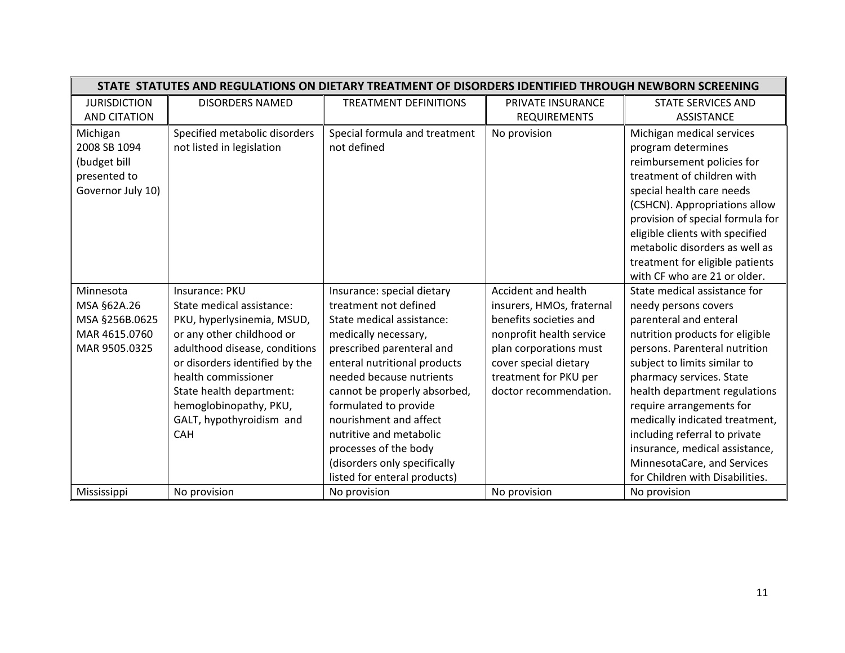|                                                                               | STATE STATUTES AND REGULATIONS ON DIETARY TREATMENT OF DISORDERS IDENTIFIED THROUGH NEWBORN SCREENING |                                              |                           |                                                                                                                                                                                                                                                                                                                                                       |  |
|-------------------------------------------------------------------------------|-------------------------------------------------------------------------------------------------------|----------------------------------------------|---------------------------|-------------------------------------------------------------------------------------------------------------------------------------------------------------------------------------------------------------------------------------------------------------------------------------------------------------------------------------------------------|--|
| <b>JURISDICTION</b>                                                           | <b>DISORDERS NAMED</b>                                                                                | <b>TREATMENT DEFINITIONS</b>                 | PRIVATE INSURANCE         | STATE SERVICES AND                                                                                                                                                                                                                                                                                                                                    |  |
| <b>AND CITATION</b>                                                           |                                                                                                       |                                              | <b>REQUIREMENTS</b>       | <b>ASSISTANCE</b>                                                                                                                                                                                                                                                                                                                                     |  |
| Michigan<br>2008 SB 1094<br>(budget bill<br>presented to<br>Governor July 10) | Specified metabolic disorders<br>not listed in legislation                                            | Special formula and treatment<br>not defined | No provision              | Michigan medical services<br>program determines<br>reimbursement policies for<br>treatment of children with<br>special health care needs<br>(CSHCN). Appropriations allow<br>provision of special formula for<br>eligible clients with specified<br>metabolic disorders as well as<br>treatment for eligible patients<br>with CF who are 21 or older. |  |
| Minnesota                                                                     | Insurance: PKU                                                                                        | Insurance: special dietary                   | Accident and health       | State medical assistance for                                                                                                                                                                                                                                                                                                                          |  |
| MSA §62A.26                                                                   | State medical assistance:                                                                             | treatment not defined                        | insurers, HMOs, fraternal | needy persons covers                                                                                                                                                                                                                                                                                                                                  |  |
| MSA §256B.0625                                                                | PKU, hyperlysinemia, MSUD,                                                                            | State medical assistance:                    | benefits societies and    | parenteral and enteral                                                                                                                                                                                                                                                                                                                                |  |
| MAR 4615.0760                                                                 | or any other childhood or                                                                             | medically necessary,                         | nonprofit health service  | nutrition products for eligible                                                                                                                                                                                                                                                                                                                       |  |
| MAR 9505.0325                                                                 | adulthood disease, conditions                                                                         | prescribed parenteral and                    | plan corporations must    | persons. Parenteral nutrition                                                                                                                                                                                                                                                                                                                         |  |
|                                                                               | or disorders identified by the                                                                        | enteral nutritional products                 | cover special dietary     | subject to limits similar to                                                                                                                                                                                                                                                                                                                          |  |
|                                                                               | health commissioner                                                                                   | needed because nutrients                     | treatment for PKU per     | pharmacy services. State                                                                                                                                                                                                                                                                                                                              |  |
|                                                                               | State health department:                                                                              | cannot be properly absorbed,                 | doctor recommendation.    | health department regulations                                                                                                                                                                                                                                                                                                                         |  |
|                                                                               | hemoglobinopathy, PKU,                                                                                | formulated to provide                        |                           | require arrangements for                                                                                                                                                                                                                                                                                                                              |  |
|                                                                               | GALT, hypothyroidism and                                                                              | nourishment and affect                       |                           | medically indicated treatment,                                                                                                                                                                                                                                                                                                                        |  |
|                                                                               | <b>CAH</b>                                                                                            | nutritive and metabolic                      |                           | including referral to private                                                                                                                                                                                                                                                                                                                         |  |
|                                                                               |                                                                                                       | processes of the body                        |                           | insurance, medical assistance,                                                                                                                                                                                                                                                                                                                        |  |
|                                                                               |                                                                                                       | (disorders only specifically                 |                           | MinnesotaCare, and Services                                                                                                                                                                                                                                                                                                                           |  |
|                                                                               |                                                                                                       | listed for enteral products)                 |                           | for Children with Disabilities.                                                                                                                                                                                                                                                                                                                       |  |
| Mississippi                                                                   | No provision                                                                                          | No provision                                 | No provision              | No provision                                                                                                                                                                                                                                                                                                                                          |  |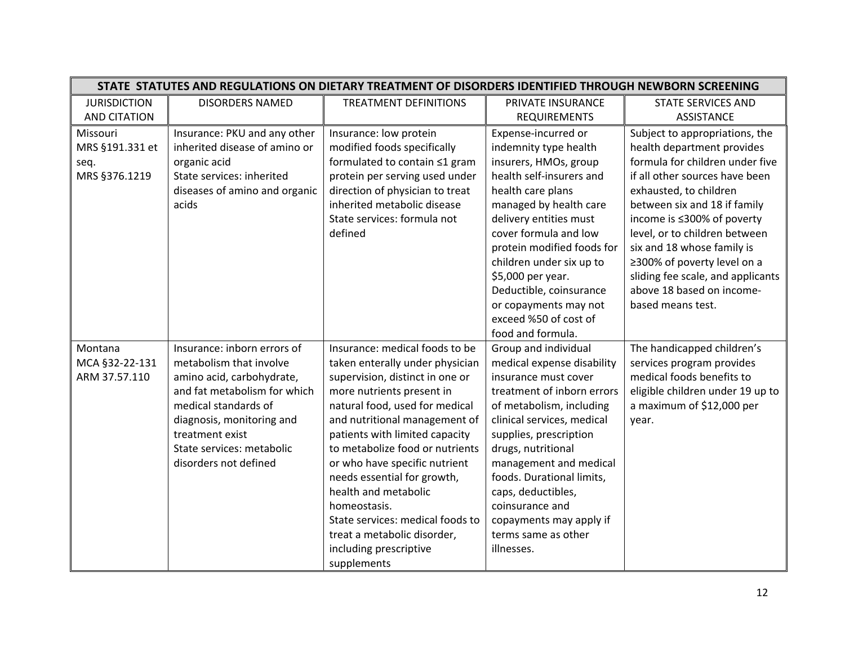| STATE STATUTES AND REGULATIONS ON DIETARY TREATMENT OF DISORDERS IDENTIFIED THROUGH NEWBORN SCREENING |                                                                                                                                                                                                                                                   |                                                                                                                                                                                                                                                                                                                                                                                                                                                                                               |                                                                                                                                                                                                                                                                                                                                                                                                         |                                                                                                                                                                                                                                                                                                                                                                                                                |
|-------------------------------------------------------------------------------------------------------|---------------------------------------------------------------------------------------------------------------------------------------------------------------------------------------------------------------------------------------------------|-----------------------------------------------------------------------------------------------------------------------------------------------------------------------------------------------------------------------------------------------------------------------------------------------------------------------------------------------------------------------------------------------------------------------------------------------------------------------------------------------|---------------------------------------------------------------------------------------------------------------------------------------------------------------------------------------------------------------------------------------------------------------------------------------------------------------------------------------------------------------------------------------------------------|----------------------------------------------------------------------------------------------------------------------------------------------------------------------------------------------------------------------------------------------------------------------------------------------------------------------------------------------------------------------------------------------------------------|
| <b>JURISDICTION</b>                                                                                   | <b>DISORDERS NAMED</b>                                                                                                                                                                                                                            | <b>TREATMENT DEFINITIONS</b>                                                                                                                                                                                                                                                                                                                                                                                                                                                                  | PRIVATE INSURANCE                                                                                                                                                                                                                                                                                                                                                                                       | <b>STATE SERVICES AND</b>                                                                                                                                                                                                                                                                                                                                                                                      |
| <b>AND CITATION</b>                                                                                   |                                                                                                                                                                                                                                                   |                                                                                                                                                                                                                                                                                                                                                                                                                                                                                               | <b>REQUIREMENTS</b>                                                                                                                                                                                                                                                                                                                                                                                     | <b>ASSISTANCE</b>                                                                                                                                                                                                                                                                                                                                                                                              |
| Missouri<br>MRS §191.331 et<br>seq.<br>MRS §376.1219                                                  | Insurance: PKU and any other<br>inherited disease of amino or<br>organic acid<br>State services: inherited<br>diseases of amino and organic<br>acids                                                                                              | Insurance: low protein<br>modified foods specifically<br>formulated to contain ≤1 gram<br>protein per serving used under<br>direction of physician to treat<br>inherited metabolic disease<br>State services: formula not<br>defined                                                                                                                                                                                                                                                          | Expense-incurred or<br>indemnity type health<br>insurers, HMOs, group<br>health self-insurers and<br>health care plans<br>managed by health care<br>delivery entities must<br>cover formula and low<br>protein modified foods for<br>children under six up to<br>\$5,000 per year.<br>Deductible, coinsurance<br>or copayments may not<br>exceed %50 of cost of                                         | Subject to appropriations, the<br>health department provides<br>formula for children under five<br>if all other sources have been<br>exhausted, to children<br>between six and 18 if family<br>income is ≤300% of poverty<br>level, or to children between<br>six and 18 whose family is<br>≥300% of poverty level on a<br>sliding fee scale, and applicants<br>above 18 based on income-<br>based means test. |
| Montana<br>MCA §32-22-131<br>ARM 37.57.110                                                            | Insurance: inborn errors of<br>metabolism that involve<br>amino acid, carbohydrate,<br>and fat metabolism for which<br>medical standards of<br>diagnosis, monitoring and<br>treatment exist<br>State services: metabolic<br>disorders not defined | Insurance: medical foods to be<br>taken enterally under physician<br>supervision, distinct in one or<br>more nutrients present in<br>natural food, used for medical<br>and nutritional management of<br>patients with limited capacity<br>to metabolize food or nutrients<br>or who have specific nutrient<br>needs essential for growth,<br>health and metabolic<br>homeostasis.<br>State services: medical foods to<br>treat a metabolic disorder,<br>including prescriptive<br>supplements | food and formula.<br>Group and individual<br>medical expense disability<br>insurance must cover<br>treatment of inborn errors<br>of metabolism, including<br>clinical services, medical<br>supplies, prescription<br>drugs, nutritional<br>management and medical<br>foods. Durational limits,<br>caps, deductibles,<br>coinsurance and<br>copayments may apply if<br>terms same as other<br>illnesses. | The handicapped children's<br>services program provides<br>medical foods benefits to<br>eligible children under 19 up to<br>a maximum of \$12,000 per<br>year.                                                                                                                                                                                                                                                 |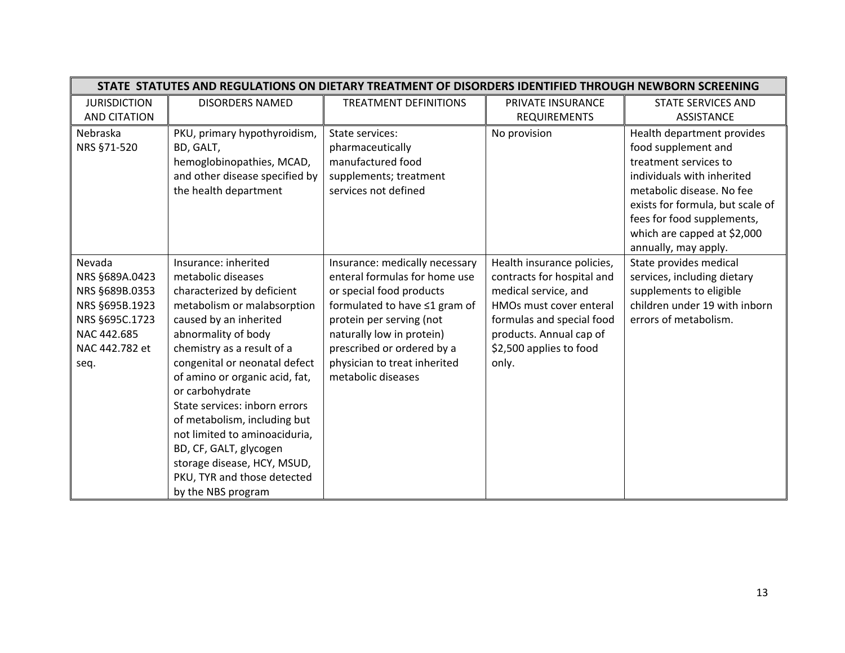| STATE STATUTES AND REGULATIONS ON DIETARY TREATMENT OF DISORDERS IDENTIFIED THROUGH NEWBORN SCREENING                   |                                                                                                                                                                                                                                                                                                                                                                                                                                                                                              |                                                                                                                                                                                                                                                                           |                                                                                                                                                                                                         |                                                                                                                                                                                                                                                                |
|-------------------------------------------------------------------------------------------------------------------------|----------------------------------------------------------------------------------------------------------------------------------------------------------------------------------------------------------------------------------------------------------------------------------------------------------------------------------------------------------------------------------------------------------------------------------------------------------------------------------------------|---------------------------------------------------------------------------------------------------------------------------------------------------------------------------------------------------------------------------------------------------------------------------|---------------------------------------------------------------------------------------------------------------------------------------------------------------------------------------------------------|----------------------------------------------------------------------------------------------------------------------------------------------------------------------------------------------------------------------------------------------------------------|
| <b>JURISDICTION</b>                                                                                                     | <b>DISORDERS NAMED</b>                                                                                                                                                                                                                                                                                                                                                                                                                                                                       | <b>TREATMENT DEFINITIONS</b>                                                                                                                                                                                                                                              | PRIVATE INSURANCE                                                                                                                                                                                       | <b>STATE SERVICES AND</b>                                                                                                                                                                                                                                      |
| <b>AND CITATION</b>                                                                                                     |                                                                                                                                                                                                                                                                                                                                                                                                                                                                                              |                                                                                                                                                                                                                                                                           | <b>REQUIREMENTS</b>                                                                                                                                                                                     | <b>ASSISTANCE</b>                                                                                                                                                                                                                                              |
| Nebraska<br>NRS §71-520                                                                                                 | PKU, primary hypothyroidism,<br>BD, GALT,<br>hemoglobinopathies, MCAD,<br>and other disease specified by<br>the health department                                                                                                                                                                                                                                                                                                                                                            | State services:<br>pharmaceutically<br>manufactured food<br>supplements; treatment<br>services not defined                                                                                                                                                                | No provision                                                                                                                                                                                            | Health department provides<br>food supplement and<br>treatment services to<br>individuals with inherited<br>metabolic disease. No fee<br>exists for formula, but scale of<br>fees for food supplements,<br>which are capped at \$2,000<br>annually, may apply. |
| Nevada<br>NRS §689A.0423<br>NRS §689B.0353<br>NRS §695B.1923<br>NRS §695C.1723<br>NAC 442.685<br>NAC 442.782 et<br>seq. | Insurance: inherited<br>metabolic diseases<br>characterized by deficient<br>metabolism or malabsorption<br>caused by an inherited<br>abnormality of body<br>chemistry as a result of a<br>congenital or neonatal defect<br>of amino or organic acid, fat,<br>or carbohydrate<br>State services: inborn errors<br>of metabolism, including but<br>not limited to aminoaciduria,<br>BD, CF, GALT, glycogen<br>storage disease, HCY, MSUD,<br>PKU, TYR and those detected<br>by the NBS program | Insurance: medically necessary<br>enteral formulas for home use<br>or special food products<br>formulated to have ≤1 gram of<br>protein per serving (not<br>naturally low in protein)<br>prescribed or ordered by a<br>physician to treat inherited<br>metabolic diseases | Health insurance policies,<br>contracts for hospital and<br>medical service, and<br>HMOs must cover enteral<br>formulas and special food<br>products. Annual cap of<br>\$2,500 applies to food<br>only. | State provides medical<br>services, including dietary<br>supplements to eligible<br>children under 19 with inborn<br>errors of metabolism.                                                                                                                     |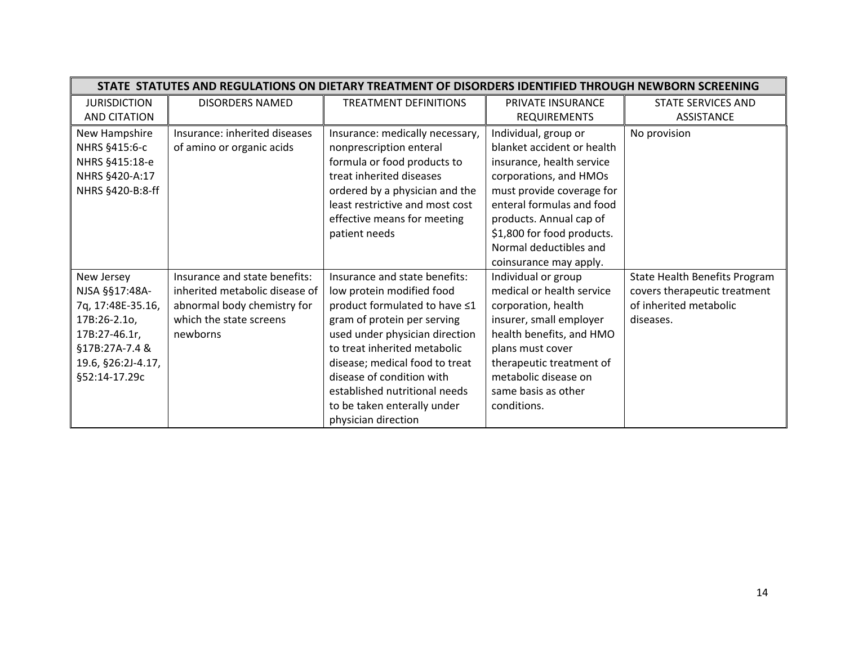|                     | STATE STATUTES AND REGULATIONS ON DIETARY TREATMENT OF DISORDERS IDENTIFIED THROUGH NEWBORN SCREENING |                                 |                            |                               |  |
|---------------------|-------------------------------------------------------------------------------------------------------|---------------------------------|----------------------------|-------------------------------|--|
| <b>JURISDICTION</b> | <b>DISORDERS NAMED</b>                                                                                | <b>TREATMENT DEFINITIONS</b>    | PRIVATE INSURANCE          | <b>STATE SERVICES AND</b>     |  |
| AND CITATION        |                                                                                                       |                                 | <b>REQUIREMENTS</b>        | <b>ASSISTANCE</b>             |  |
| New Hampshire       | Insurance: inherited diseases                                                                         | Insurance: medically necessary, | Individual, group or       | No provision                  |  |
| NHRS §415:6-c       | of amino or organic acids                                                                             | nonprescription enteral         | blanket accident or health |                               |  |
| NHRS §415:18-e      |                                                                                                       | formula or food products to     | insurance, health service  |                               |  |
| NHRS §420-A:17      |                                                                                                       | treat inherited diseases        | corporations, and HMOs     |                               |  |
| NHRS §420-B:8-ff    |                                                                                                       | ordered by a physician and the  | must provide coverage for  |                               |  |
|                     |                                                                                                       | least restrictive and most cost | enteral formulas and food  |                               |  |
|                     |                                                                                                       | effective means for meeting     | products. Annual cap of    |                               |  |
|                     |                                                                                                       | patient needs                   | \$1,800 for food products. |                               |  |
|                     |                                                                                                       |                                 | Normal deductibles and     |                               |  |
|                     |                                                                                                       |                                 | coinsurance may apply.     |                               |  |
| New Jersey          | Insurance and state benefits:                                                                         | Insurance and state benefits:   | Individual or group        | State Health Benefits Program |  |
| NJSA §§17:48A-      | inherited metabolic disease of                                                                        | low protein modified food       | medical or health service  | covers therapeutic treatment  |  |
| 7q, 17:48E-35.16,   | abnormal body chemistry for                                                                           | product formulated to have ≤1   | corporation, health        | of inherited metabolic        |  |
| 17B:26-2.10,        | which the state screens                                                                               | gram of protein per serving     | insurer, small employer    | diseases.                     |  |
| 17B:27-46.1r,       | newborns                                                                                              | used under physician direction  | health benefits, and HMO   |                               |  |
| §17B:27A-7.4 &      |                                                                                                       | to treat inherited metabolic    | plans must cover           |                               |  |
| 19.6, §26:2J-4.17,  |                                                                                                       | disease; medical food to treat  | therapeutic treatment of   |                               |  |
| §52:14-17.29c       |                                                                                                       | disease of condition with       | metabolic disease on       |                               |  |
|                     |                                                                                                       | established nutritional needs   | same basis as other        |                               |  |
|                     |                                                                                                       | to be taken enterally under     | conditions.                |                               |  |
|                     |                                                                                                       | physician direction             |                            |                               |  |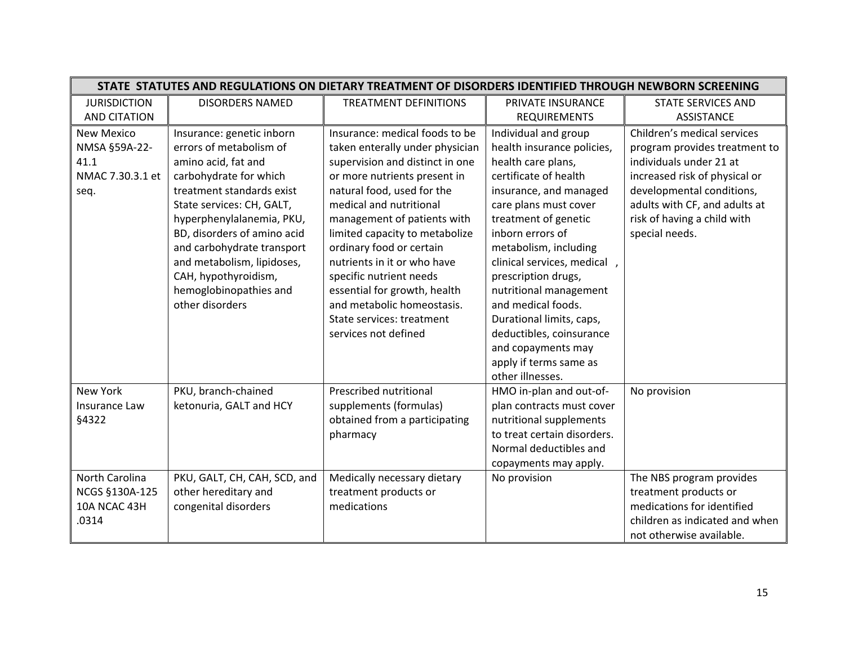| STATE STATUTES AND REGULATIONS ON DIETARY TREATMENT OF DISORDERS IDENTIFIED THROUGH NEWBORN SCREENING |                              |                                 |                             |                                |
|-------------------------------------------------------------------------------------------------------|------------------------------|---------------------------------|-----------------------------|--------------------------------|
| <b>JURISDICTION</b>                                                                                   | <b>DISORDERS NAMED</b>       | <b>TREATMENT DEFINITIONS</b>    | PRIVATE INSURANCE           | <b>STATE SERVICES AND</b>      |
| <b>AND CITATION</b>                                                                                   |                              |                                 | <b>REQUIREMENTS</b>         | <b>ASSISTANCE</b>              |
| <b>New Mexico</b>                                                                                     | Insurance: genetic inborn    | Insurance: medical foods to be  | Individual and group        | Children's medical services    |
| NMSA §59A-22-                                                                                         | errors of metabolism of      | taken enterally under physician | health insurance policies,  | program provides treatment to  |
| 41.1                                                                                                  | amino acid, fat and          | supervision and distinct in one | health care plans,          | individuals under 21 at        |
| NMAC 7.30.3.1 et                                                                                      | carbohydrate for which       | or more nutrients present in    | certificate of health       | increased risk of physical or  |
| seq.                                                                                                  | treatment standards exist    | natural food, used for the      | insurance, and managed      | developmental conditions,      |
|                                                                                                       | State services: CH, GALT,    | medical and nutritional         | care plans must cover       | adults with CF, and adults at  |
|                                                                                                       | hyperphenylalanemia, PKU,    | management of patients with     | treatment of genetic        | risk of having a child with    |
|                                                                                                       | BD, disorders of amino acid  | limited capacity to metabolize  | inborn errors of            | special needs.                 |
|                                                                                                       | and carbohydrate transport   | ordinary food or certain        | metabolism, including       |                                |
|                                                                                                       | and metabolism, lipidoses,   | nutrients in it or who have     | clinical services, medical, |                                |
|                                                                                                       | CAH, hypothyroidism,         | specific nutrient needs         | prescription drugs,         |                                |
|                                                                                                       | hemoglobinopathies and       | essential for growth, health    | nutritional management      |                                |
|                                                                                                       | other disorders              | and metabolic homeostasis.      | and medical foods.          |                                |
|                                                                                                       |                              | State services: treatment       | Durational limits, caps,    |                                |
|                                                                                                       |                              | services not defined            | deductibles, coinsurance    |                                |
|                                                                                                       |                              |                                 | and copayments may          |                                |
|                                                                                                       |                              |                                 | apply if terms same as      |                                |
|                                                                                                       |                              |                                 | other illnesses.            |                                |
| <b>New York</b>                                                                                       | PKU, branch-chained          | Prescribed nutritional          | HMO in-plan and out-of-     | No provision                   |
| Insurance Law                                                                                         | ketonuria, GALT and HCY      | supplements (formulas)          | plan contracts must cover   |                                |
| §4322                                                                                                 |                              | obtained from a participating   | nutritional supplements     |                                |
|                                                                                                       |                              | pharmacy                        | to treat certain disorders. |                                |
|                                                                                                       |                              |                                 | Normal deductibles and      |                                |
|                                                                                                       |                              |                                 | copayments may apply.       |                                |
| North Carolina                                                                                        | PKU, GALT, CH, CAH, SCD, and | Medically necessary dietary     | No provision                | The NBS program provides       |
| NCGS §130A-125                                                                                        | other hereditary and         | treatment products or           |                             | treatment products or          |
| 10A NCAC 43H                                                                                          | congenital disorders         | medications                     |                             | medications for identified     |
| .0314                                                                                                 |                              |                                 |                             | children as indicated and when |
|                                                                                                       |                              |                                 |                             | not otherwise available.       |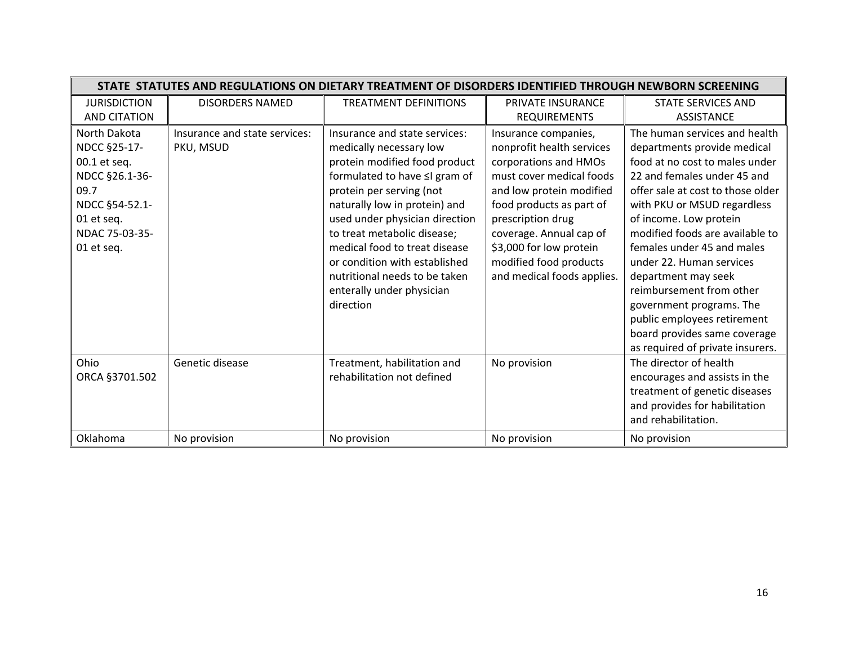| STATE STATUTES AND REGULATIONS ON DIETARY TREATMENT OF DISORDERS IDENTIFIED THROUGH NEWBORN SCREENING                                          |                                                               |                                                                                                                                                                                                                                                                                                                                                                                                                                      |                                                                                                                                                                                                                                                                                                                   |                                                                                                                                                                                                                                                                                                                                                                                                                                                                                                                                      |
|------------------------------------------------------------------------------------------------------------------------------------------------|---------------------------------------------------------------|--------------------------------------------------------------------------------------------------------------------------------------------------------------------------------------------------------------------------------------------------------------------------------------------------------------------------------------------------------------------------------------------------------------------------------------|-------------------------------------------------------------------------------------------------------------------------------------------------------------------------------------------------------------------------------------------------------------------------------------------------------------------|--------------------------------------------------------------------------------------------------------------------------------------------------------------------------------------------------------------------------------------------------------------------------------------------------------------------------------------------------------------------------------------------------------------------------------------------------------------------------------------------------------------------------------------|
| <b>JURISDICTION</b>                                                                                                                            | <b>DISORDERS NAMED</b>                                        | <b>TREATMENT DEFINITIONS</b>                                                                                                                                                                                                                                                                                                                                                                                                         | PRIVATE INSURANCE                                                                                                                                                                                                                                                                                                 | <b>STATE SERVICES AND</b>                                                                                                                                                                                                                                                                                                                                                                                                                                                                                                            |
| <b>AND CITATION</b>                                                                                                                            |                                                               |                                                                                                                                                                                                                                                                                                                                                                                                                                      | REQUIREMENTS                                                                                                                                                                                                                                                                                                      | <b>ASSISTANCE</b>                                                                                                                                                                                                                                                                                                                                                                                                                                                                                                                    |
| North Dakota<br>NDCC §25-17-<br>00.1 et seq.<br>NDCC §26.1-36-<br>09.7<br>NDCC §54-52.1-<br>01 et seq.<br>NDAC 75-03-35-<br>01 et seq.<br>Ohio | Insurance and state services:<br>PKU, MSUD<br>Genetic disease | Insurance and state services:<br>medically necessary low<br>protein modified food product<br>formulated to have ≤I gram of<br>protein per serving (not<br>naturally low in protein) and<br>used under physician direction<br>to treat metabolic disease;<br>medical food to treat disease<br>or condition with established<br>nutritional needs to be taken<br>enterally under physician<br>direction<br>Treatment, habilitation and | Insurance companies,<br>nonprofit health services<br>corporations and HMOs<br>must cover medical foods<br>and low protein modified<br>food products as part of<br>prescription drug<br>coverage. Annual cap of<br>\$3,000 for low protein<br>modified food products<br>and medical foods applies.<br>No provision | The human services and health<br>departments provide medical<br>food at no cost to males under<br>22 and females under 45 and<br>offer sale at cost to those older<br>with PKU or MSUD regardless<br>of income. Low protein<br>modified foods are available to<br>females under 45 and males<br>under 22. Human services<br>department may seek<br>reimbursement from other<br>government programs. The<br>public employees retirement<br>board provides same coverage<br>as required of private insurers.<br>The director of health |
| ORCA §3701.502                                                                                                                                 |                                                               | rehabilitation not defined                                                                                                                                                                                                                                                                                                                                                                                                           |                                                                                                                                                                                                                                                                                                                   | encourages and assists in the<br>treatment of genetic diseases<br>and provides for habilitation<br>and rehabilitation.                                                                                                                                                                                                                                                                                                                                                                                                               |
| Oklahoma                                                                                                                                       | No provision                                                  | No provision                                                                                                                                                                                                                                                                                                                                                                                                                         | No provision                                                                                                                                                                                                                                                                                                      | No provision                                                                                                                                                                                                                                                                                                                                                                                                                                                                                                                         |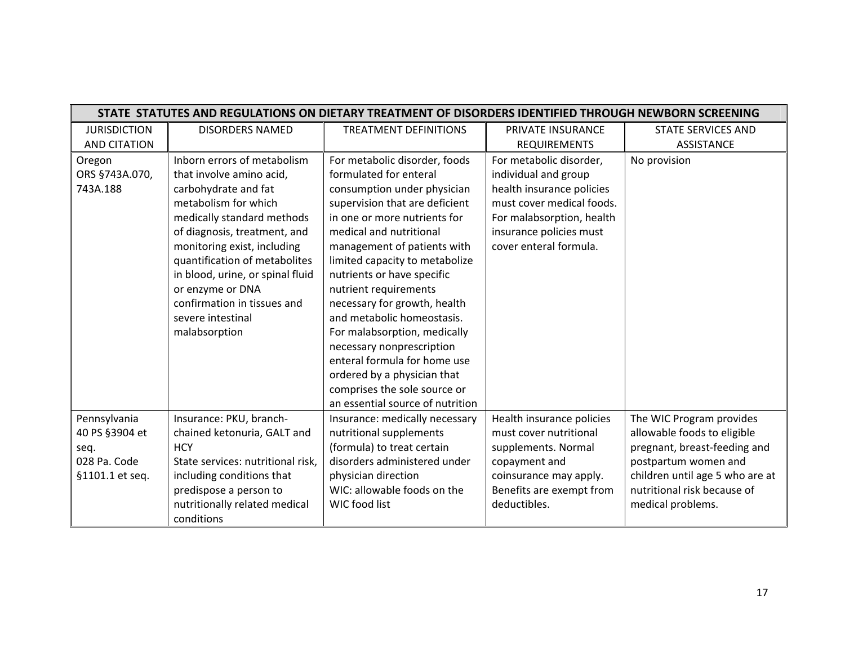|                     | STATE STATUTES AND REGULATIONS ON DIETARY TREATMENT OF DISORDERS IDENTIFIED THROUGH NEWBORN SCREENING |                                  |                           |                                 |  |
|---------------------|-------------------------------------------------------------------------------------------------------|----------------------------------|---------------------------|---------------------------------|--|
| <b>JURISDICTION</b> | <b>DISORDERS NAMED</b>                                                                                | <b>TREATMENT DEFINITIONS</b>     | PRIVATE INSURANCE         | <b>STATE SERVICES AND</b>       |  |
| <b>AND CITATION</b> |                                                                                                       |                                  | <b>REQUIREMENTS</b>       | ASSISTANCE                      |  |
| Oregon              | Inborn errors of metabolism                                                                           | For metabolic disorder, foods    | For metabolic disorder,   | No provision                    |  |
| ORS §743A.070,      | that involve amino acid,                                                                              | formulated for enteral           | individual and group      |                                 |  |
| 743A.188            | carbohydrate and fat                                                                                  | consumption under physician      | health insurance policies |                                 |  |
|                     | metabolism for which                                                                                  | supervision that are deficient   | must cover medical foods. |                                 |  |
|                     | medically standard methods                                                                            | in one or more nutrients for     | For malabsorption, health |                                 |  |
|                     | of diagnosis, treatment, and                                                                          | medical and nutritional          | insurance policies must   |                                 |  |
|                     | monitoring exist, including                                                                           | management of patients with      | cover enteral formula.    |                                 |  |
|                     | quantification of metabolites                                                                         | limited capacity to metabolize   |                           |                                 |  |
|                     | in blood, urine, or spinal fluid                                                                      | nutrients or have specific       |                           |                                 |  |
|                     | or enzyme or DNA                                                                                      | nutrient requirements            |                           |                                 |  |
|                     | confirmation in tissues and                                                                           | necessary for growth, health     |                           |                                 |  |
|                     | severe intestinal                                                                                     | and metabolic homeostasis.       |                           |                                 |  |
|                     | malabsorption                                                                                         | For malabsorption, medically     |                           |                                 |  |
|                     |                                                                                                       | necessary nonprescription        |                           |                                 |  |
|                     |                                                                                                       | enteral formula for home use     |                           |                                 |  |
|                     |                                                                                                       | ordered by a physician that      |                           |                                 |  |
|                     |                                                                                                       | comprises the sole source or     |                           |                                 |  |
|                     |                                                                                                       | an essential source of nutrition |                           |                                 |  |
| Pennsylvania        | Insurance: PKU, branch-                                                                               | Insurance: medically necessary   | Health insurance policies | The WIC Program provides        |  |
| 40 PS §3904 et      | chained ketonuria, GALT and                                                                           | nutritional supplements          | must cover nutritional    | allowable foods to eligible     |  |
| seq.                | <b>HCY</b>                                                                                            | (formula) to treat certain       | supplements. Normal       | pregnant, breast-feeding and    |  |
| 028 Pa. Code        | State services: nutritional risk,                                                                     | disorders administered under     | copayment and             | postpartum women and            |  |
| §1101.1 et seq.     | including conditions that                                                                             | physician direction              | coinsurance may apply.    | children until age 5 who are at |  |
|                     | predispose a person to                                                                                | WIC: allowable foods on the      | Benefits are exempt from  | nutritional risk because of     |  |
|                     | nutritionally related medical                                                                         | WIC food list                    | deductibles.              | medical problems.               |  |
|                     | conditions                                                                                            |                                  |                           |                                 |  |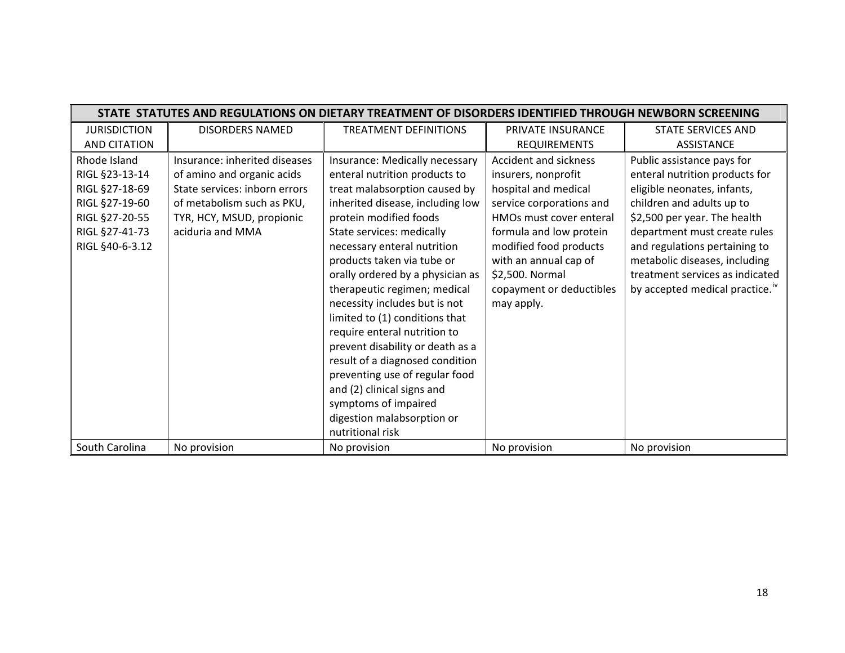|                     |                               | STATE STATUTES AND REGULATIONS ON DIETARY TREATMENT OF DISORDERS IDENTIFIED THROUGH NEWBORN SCREENING |                          |                                            |
|---------------------|-------------------------------|-------------------------------------------------------------------------------------------------------|--------------------------|--------------------------------------------|
| <b>JURISDICTION</b> | <b>DISORDERS NAMED</b>        | <b>TREATMENT DEFINITIONS</b>                                                                          | PRIVATE INSURANCE        | STATE SERVICES AND                         |
| <b>AND CITATION</b> |                               |                                                                                                       | <b>REQUIREMENTS</b>      | <b>ASSISTANCE</b>                          |
| Rhode Island        | Insurance: inherited diseases | Insurance: Medically necessary                                                                        | Accident and sickness    | Public assistance pays for                 |
| RIGL §23-13-14      | of amino and organic acids    | enteral nutrition products to                                                                         | insurers, nonprofit      | enteral nutrition products for             |
| RIGL §27-18-69      | State services: inborn errors | treat malabsorption caused by                                                                         | hospital and medical     | eligible neonates, infants,                |
| RIGL §27-19-60      | of metabolism such as PKU,    | inherited disease, including low                                                                      | service corporations and | children and adults up to                  |
| RIGL §27-20-55      | TYR, HCY, MSUD, propionic     | protein modified foods                                                                                | HMOs must cover enteral  | \$2,500 per year. The health               |
| RIGL §27-41-73      | aciduria and MMA              | State services: medically                                                                             | formula and low protein  | department must create rules               |
| RIGL §40-6-3.12     |                               | necessary enteral nutrition                                                                           | modified food products   | and regulations pertaining to              |
|                     |                               | products taken via tube or                                                                            | with an annual cap of    | metabolic diseases, including              |
|                     |                               | orally ordered by a physician as                                                                      | \$2,500. Normal          | treatment services as indicated            |
|                     |                               | therapeutic regimen; medical                                                                          | copayment or deductibles | by accepted medical practice. <sup>"</sup> |
|                     |                               | necessity includes but is not                                                                         | may apply.               |                                            |
|                     |                               | limited to (1) conditions that                                                                        |                          |                                            |
|                     |                               | require enteral nutrition to                                                                          |                          |                                            |
|                     |                               | prevent disability or death as a                                                                      |                          |                                            |
|                     |                               | result of a diagnosed condition                                                                       |                          |                                            |
|                     |                               | preventing use of regular food                                                                        |                          |                                            |
|                     |                               | and (2) clinical signs and                                                                            |                          |                                            |
|                     |                               | symptoms of impaired                                                                                  |                          |                                            |
|                     |                               | digestion malabsorption or                                                                            |                          |                                            |
|                     |                               | nutritional risk                                                                                      |                          |                                            |
| South Carolina      | No provision                  | No provision                                                                                          | No provision             | No provision                               |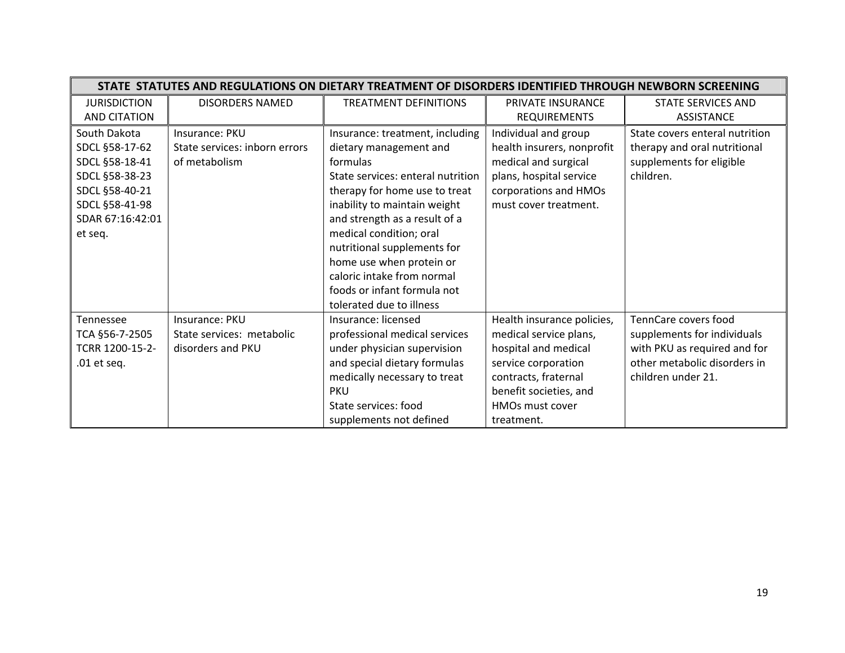|                     | STATE STATUTES AND REGULATIONS ON DIETARY TREATMENT OF DISORDERS IDENTIFIED THROUGH NEWBORN SCREENING |                                   |                            |                                |  |
|---------------------|-------------------------------------------------------------------------------------------------------|-----------------------------------|----------------------------|--------------------------------|--|
| <b>JURISDICTION</b> | <b>DISORDERS NAMED</b>                                                                                | <b>TREATMENT DEFINITIONS</b>      | PRIVATE INSURANCE          | STATE SERVICES AND             |  |
| <b>AND CITATION</b> |                                                                                                       |                                   | <b>REQUIREMENTS</b>        | <b>ASSISTANCE</b>              |  |
| South Dakota        | Insurance: PKU                                                                                        | Insurance: treatment, including   | Individual and group       | State covers enteral nutrition |  |
| SDCL §58-17-62      | State services: inborn errors                                                                         | dietary management and            | health insurers, nonprofit | therapy and oral nutritional   |  |
| SDCL §58-18-41      | of metabolism                                                                                         | formulas                          | medical and surgical       | supplements for eligible       |  |
| SDCL §58-38-23      |                                                                                                       | State services: enteral nutrition | plans, hospital service    | children.                      |  |
| SDCL §58-40-21      |                                                                                                       | therapy for home use to treat     | corporations and HMOs      |                                |  |
| SDCL §58-41-98      |                                                                                                       | inability to maintain weight      | must cover treatment.      |                                |  |
| SDAR 67:16:42:01    |                                                                                                       | and strength as a result of a     |                            |                                |  |
| et seq.             |                                                                                                       | medical condition; oral           |                            |                                |  |
|                     |                                                                                                       | nutritional supplements for       |                            |                                |  |
|                     |                                                                                                       | home use when protein or          |                            |                                |  |
|                     |                                                                                                       | caloric intake from normal        |                            |                                |  |
|                     |                                                                                                       | foods or infant formula not       |                            |                                |  |
|                     |                                                                                                       | tolerated due to illness          |                            |                                |  |
| <b>Tennessee</b>    | Insurance: PKU                                                                                        | Insurance: licensed               | Health insurance policies, | TennCare covers food           |  |
| TCA §56-7-2505      | State services: metabolic                                                                             | professional medical services     | medical service plans,     | supplements for individuals    |  |
| TCRR 1200-15-2-     | disorders and PKU                                                                                     | under physician supervision       | hospital and medical       | with PKU as required and for   |  |
| $.01$ et seq.       |                                                                                                       | and special dietary formulas      | service corporation        | other metabolic disorders in   |  |
|                     |                                                                                                       | medically necessary to treat      | contracts, fraternal       | children under 21.             |  |
|                     |                                                                                                       | <b>PKU</b>                        | benefit societies, and     |                                |  |
|                     |                                                                                                       | State services: food              | <b>HMOs must cover</b>     |                                |  |
|                     |                                                                                                       | supplements not defined           | treatment.                 |                                |  |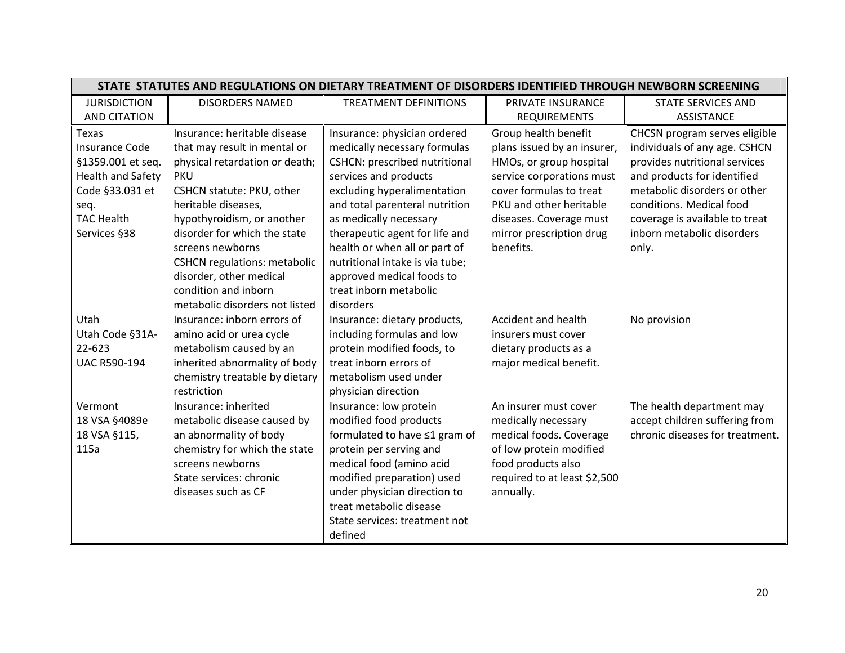|                          | STATE STATUTES AND REGULATIONS ON DIETARY TREATMENT OF DISORDERS IDENTIFIED THROUGH NEWBORN SCREENING |                                 |                              |                                 |  |
|--------------------------|-------------------------------------------------------------------------------------------------------|---------------------------------|------------------------------|---------------------------------|--|
| <b>JURISDICTION</b>      | <b>DISORDERS NAMED</b>                                                                                | <b>TREATMENT DEFINITIONS</b>    | PRIVATE INSURANCE            | <b>STATE SERVICES AND</b>       |  |
| <b>AND CITATION</b>      |                                                                                                       |                                 | <b>REQUIREMENTS</b>          | <b>ASSISTANCE</b>               |  |
| Texas                    | Insurance: heritable disease                                                                          | Insurance: physician ordered    | Group health benefit         | CHCSN program serves eligible   |  |
| <b>Insurance Code</b>    | that may result in mental or                                                                          | medically necessary formulas    | plans issued by an insurer,  | individuals of any age. CSHCN   |  |
| §1359.001 et seq.        | physical retardation or death;                                                                        | CSHCN: prescribed nutritional   | HMOs, or group hospital      | provides nutritional services   |  |
| <b>Health and Safety</b> | <b>PKU</b>                                                                                            | services and products           | service corporations must    | and products for identified     |  |
| Code §33.031 et          | CSHCN statute: PKU, other                                                                             | excluding hyperalimentation     | cover formulas to treat      | metabolic disorders or other    |  |
| seq.                     | heritable diseases,                                                                                   | and total parenteral nutrition  | PKU and other heritable      | conditions. Medical food        |  |
| <b>TAC Health</b>        | hypothyroidism, or another                                                                            | as medically necessary          | diseases. Coverage must      | coverage is available to treat  |  |
| Services §38             | disorder for which the state                                                                          | therapeutic agent for life and  | mirror prescription drug     | inborn metabolic disorders      |  |
|                          | screens newborns                                                                                      | health or when all or part of   | benefits.                    | only.                           |  |
|                          | <b>CSHCN</b> regulations: metabolic                                                                   | nutritional intake is via tube; |                              |                                 |  |
|                          | disorder, other medical                                                                               | approved medical foods to       |                              |                                 |  |
|                          | condition and inborn                                                                                  | treat inborn metabolic          |                              |                                 |  |
|                          | metabolic disorders not listed                                                                        | disorders                       |                              |                                 |  |
| Utah                     | Insurance: inborn errors of                                                                           | Insurance: dietary products,    | Accident and health          | No provision                    |  |
| Utah Code §31A-          | amino acid or urea cycle                                                                              | including formulas and low      | insurers must cover          |                                 |  |
| 22-623                   | metabolism caused by an                                                                               | protein modified foods, to      | dietary products as a        |                                 |  |
| <b>UAC R590-194</b>      | inherited abnormality of body                                                                         | treat inborn errors of          | major medical benefit.       |                                 |  |
|                          | chemistry treatable by dietary                                                                        | metabolism used under           |                              |                                 |  |
|                          | restriction                                                                                           | physician direction             |                              |                                 |  |
| Vermont                  | Insurance: inherited                                                                                  | Insurance: low protein          | An insurer must cover        | The health department may       |  |
| 18 VSA §4089e            | metabolic disease caused by                                                                           | modified food products          | medically necessary          | accept children suffering from  |  |
| 18 VSA §115,             | an abnormality of body                                                                                | formulated to have ≤1 gram of   | medical foods. Coverage      | chronic diseases for treatment. |  |
| 115a                     | chemistry for which the state                                                                         | protein per serving and         | of low protein modified      |                                 |  |
|                          | screens newborns                                                                                      | medical food (amino acid        | food products also           |                                 |  |
|                          | State services: chronic                                                                               | modified preparation) used      | required to at least \$2,500 |                                 |  |
|                          | diseases such as CF                                                                                   | under physician direction to    | annually.                    |                                 |  |
|                          |                                                                                                       | treat metabolic disease         |                              |                                 |  |
|                          |                                                                                                       | State services: treatment not   |                              |                                 |  |
|                          |                                                                                                       | defined                         |                              |                                 |  |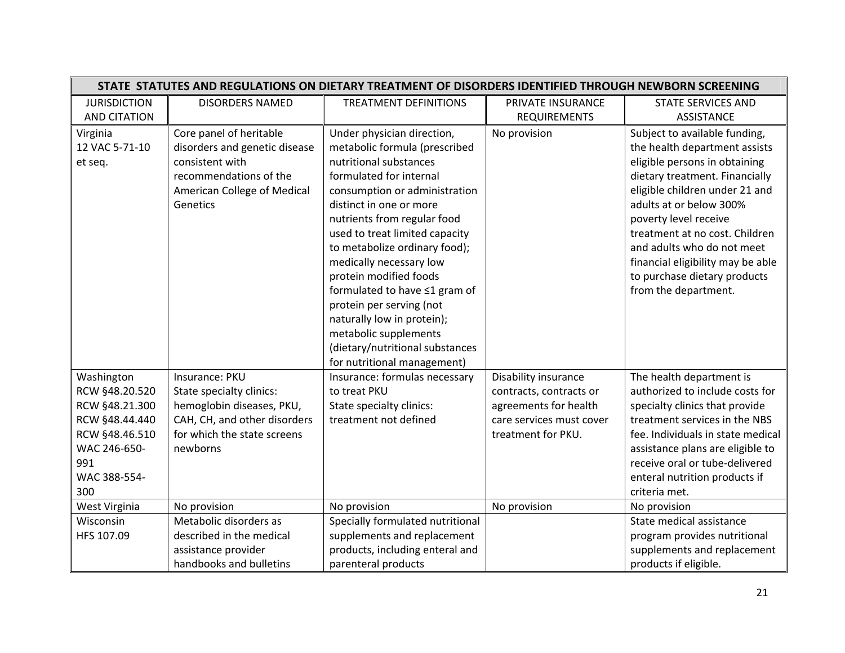|                     | STATE STATUTES AND REGULATIONS ON DIETARY TREATMENT OF DISORDERS IDENTIFIED THROUGH NEWBORN SCREENING |                                  |                          |                                   |
|---------------------|-------------------------------------------------------------------------------------------------------|----------------------------------|--------------------------|-----------------------------------|
| <b>JURISDICTION</b> | <b>DISORDERS NAMED</b>                                                                                | <b>TREATMENT DEFINITIONS</b>     | PRIVATE INSURANCE        | <b>STATE SERVICES AND</b>         |
| <b>AND CITATION</b> |                                                                                                       |                                  | <b>REQUIREMENTS</b>      | <b>ASSISTANCE</b>                 |
| Virginia            | Core panel of heritable                                                                               | Under physician direction,       | No provision             | Subject to available funding,     |
| 12 VAC 5-71-10      | disorders and genetic disease                                                                         | metabolic formula (prescribed    |                          | the health department assists     |
| et seq.             | consistent with                                                                                       | nutritional substances           |                          | eligible persons in obtaining     |
|                     | recommendations of the                                                                                | formulated for internal          |                          | dietary treatment. Financially    |
|                     | American College of Medical                                                                           | consumption or administration    |                          | eligible children under 21 and    |
|                     | Genetics                                                                                              | distinct in one or more          |                          | adults at or below 300%           |
|                     |                                                                                                       | nutrients from regular food      |                          | poverty level receive             |
|                     |                                                                                                       | used to treat limited capacity   |                          | treatment at no cost. Children    |
|                     |                                                                                                       | to metabolize ordinary food);    |                          | and adults who do not meet        |
|                     |                                                                                                       | medically necessary low          |                          | financial eligibility may be able |
|                     |                                                                                                       | protein modified foods           |                          | to purchase dietary products      |
|                     |                                                                                                       | formulated to have ≤1 gram of    |                          | from the department.              |
|                     |                                                                                                       | protein per serving (not         |                          |                                   |
|                     |                                                                                                       | naturally low in protein);       |                          |                                   |
|                     |                                                                                                       | metabolic supplements            |                          |                                   |
|                     |                                                                                                       | (dietary/nutritional substances  |                          |                                   |
|                     |                                                                                                       | for nutritional management)      |                          |                                   |
| Washington          | Insurance: PKU                                                                                        | Insurance: formulas necessary    | Disability insurance     | The health department is          |
| RCW §48.20.520      | State specialty clinics:                                                                              | to treat PKU                     | contracts, contracts or  | authorized to include costs for   |
| RCW §48.21.300      | hemoglobin diseases, PKU,                                                                             | State specialty clinics:         | agreements for health    | specialty clinics that provide    |
| RCW §48.44.440      | CAH, CH, and other disorders                                                                          | treatment not defined            | care services must cover | treatment services in the NBS     |
| RCW §48.46.510      | for which the state screens                                                                           |                                  | treatment for PKU.       | fee. Individuals in state medical |
| WAC 246-650-        | newborns                                                                                              |                                  |                          | assistance plans are eligible to  |
| 991                 |                                                                                                       |                                  |                          | receive oral or tube-delivered    |
| WAC 388-554-        |                                                                                                       |                                  |                          | enteral nutrition products if     |
| 300                 |                                                                                                       |                                  |                          | criteria met.                     |
| West Virginia       | No provision                                                                                          | No provision                     | No provision             | No provision                      |
| Wisconsin           | Metabolic disorders as                                                                                | Specially formulated nutritional |                          | State medical assistance          |
| HFS 107.09          | described in the medical                                                                              | supplements and replacement      |                          | program provides nutritional      |
|                     | assistance provider                                                                                   | products, including enteral and  |                          | supplements and replacement       |
|                     | handbooks and bulletins                                                                               | parenteral products              |                          | products if eligible.             |